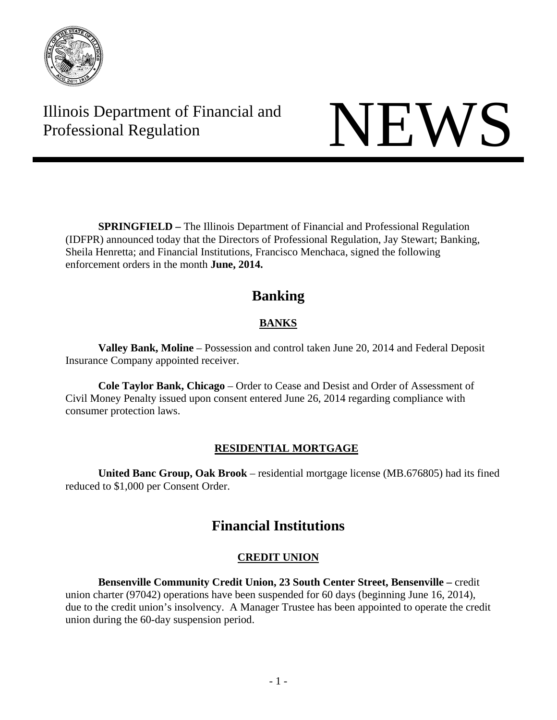

Illinois Department of Financial and Illinois Department of Financial and<br>Professional Regulation NEWS

 **SPRINGFIELD –** The Illinois Department of Financial and Professional Regulation (IDFPR) announced today that the Directors of Professional Regulation, Jay Stewart; Banking, Sheila Henretta; and Financial Institutions, Francisco Menchaca, signed the following enforcement orders in the month **June, 2014.** 

# **Banking**

# **BANKS**

**Valley Bank, Moline** – Possession and control taken June 20, 2014 and Federal Deposit Insurance Company appointed receiver.

**Cole Taylor Bank, Chicago** – Order to Cease and Desist and Order of Assessment of Civil Money Penalty issued upon consent entered June 26, 2014 regarding compliance with consumer protection laws.

# **RESIDENTIAL MORTGAGE**

**United Banc Group, Oak Brook** – residential mortgage license (MB.676805) had its fined reduced to \$1,000 per Consent Order.

# **Financial Institutions**

# **CREDIT UNION**

**Bensenville Community Credit Union, 23 South Center Street, Bensenville –** credit union charter (97042) operations have been suspended for 60 days (beginning June 16, 2014), due to the credit union's insolvency. A Manager Trustee has been appointed to operate the credit union during the 60-day suspension period.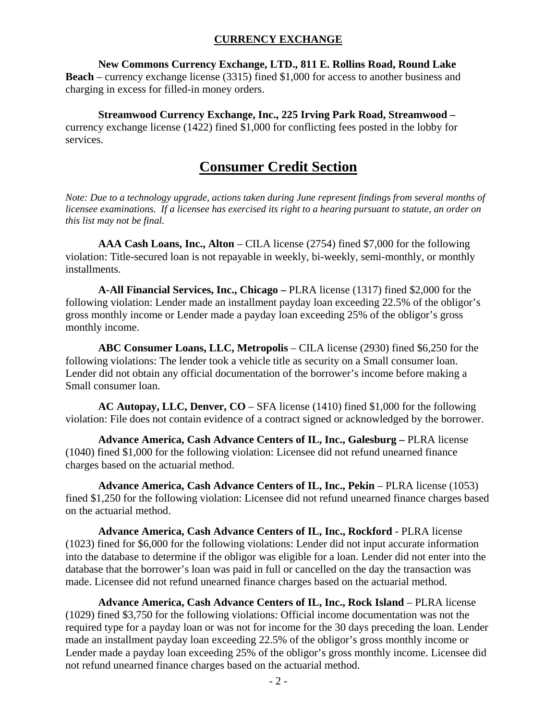## **CURRENCY EXCHANGE**

#### **New Commons Currency Exchange, LTD., 811 E. Rollins Road, Round Lake**

**Beach** – currency exchange license (3315) fined \$1,000 for access to another business and charging in excess for filled-in money orders.

#### **Streamwood Currency Exchange, Inc., 225 Irving Park Road, Streamwood –**

currency exchange license (1422) fined \$1,000 for conflicting fees posted in the lobby for services.

# **Consumer Credit Section**

*Note: Due to a technology upgrade, actions taken during June represent findings from several months of licensee examinations. If a licensee has exercised its right to a hearing pursuant to statute, an order on this list may not be final.*

**AAA Cash Loans, Inc., Alton** – CILA license (2754) fined \$7,000 for the following violation: Title-secured loan is not repayable in weekly, bi-weekly, semi-monthly, or monthly installments.

**A-All Financial Services, Inc., Chicago –** PLRA license (1317) fined \$2,000 for the following violation: Lender made an installment payday loan exceeding 22.5% of the obligor's gross monthly income or Lender made a payday loan exceeding 25% of the obligor's gross monthly income.

**ABC Consumer Loans, LLC, Metropolis** – CILA license (2930) fined \$6,250 for the following violations: The lender took a vehicle title as security on a Small consumer loan. Lender did not obtain any official documentation of the borrower's income before making a Small consumer loan.

**AC Autopay, LLC, Denver, CO** – SFA license (1410) fined \$1,000 for the following violation: File does not contain evidence of a contract signed or acknowledged by the borrower.

**Advance America, Cash Advance Centers of IL, Inc., Galesburg –** PLRA license (1040) fined \$1,000 for the following violation: Licensee did not refund unearned finance charges based on the actuarial method.

Advance America, Cash Advance Centers of IL, Inc., Pekin – PLRA license (1053) fined \$1,250 for the following violation: Licensee did not refund unearned finance charges based on the actuarial method.

**Advance America, Cash Advance Centers of IL, Inc., Rockford** - PLRA license (1023) fined for \$6,000 for the following violations: Lender did not input accurate information into the database to determine if the obligor was eligible for a loan. Lender did not enter into the database that the borrower's loan was paid in full or cancelled on the day the transaction was made. Licensee did not refund unearned finance charges based on the actuarial method.

**Advance America, Cash Advance Centers of IL, Inc., Rock Island** – PLRA license (1029) fined \$3,750 for the following violations: Official income documentation was not the required type for a payday loan or was not for income for the 30 days preceding the loan. Lender made an installment payday loan exceeding 22.5% of the obligor's gross monthly income or Lender made a payday loan exceeding 25% of the obligor's gross monthly income. Licensee did not refund unearned finance charges based on the actuarial method.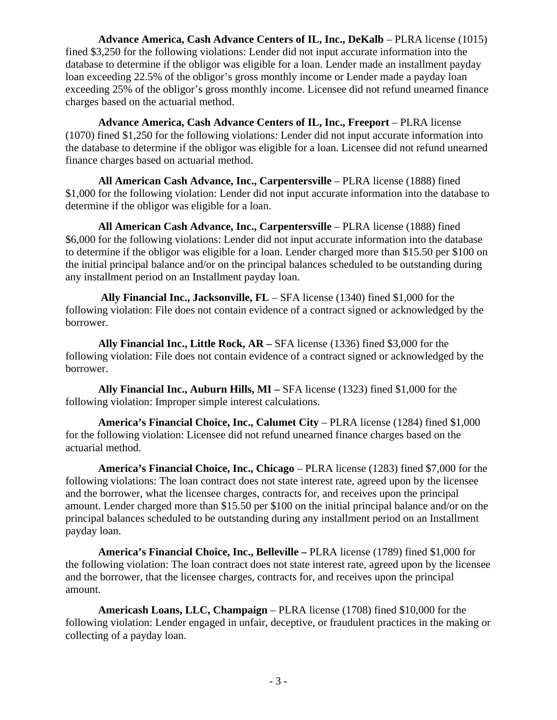**Advance America, Cash Advance Centers of IL, Inc., DeKalb – PLRA license (1015)** fined \$3,250 for the following violations: Lender did not input accurate information into the database to determine if the obligor was eligible for a loan. Lender made an installment payday loan exceeding 22.5% of the obligor's gross monthly income or Lender made a payday loan exceeding 25% of the obligor's gross monthly income. Licensee did not refund unearned finance charges based on the actuarial method.

**Advance America, Cash Advance Centers of IL, Inc., Freeport** – PLRA license (1070) fined \$1,250 for the following violations: Lender did not input accurate information into the database to determine if the obligor was eligible for a loan. Licensee did not refund unearned finance charges based on actuarial method.

**All American Cash Advance, Inc., Carpentersville** – PLRA license (1888) fined \$1,000 for the following violation: Lender did not input accurate information into the database to determine if the obligor was eligible for a loan.

**All American Cash Advance, Inc., Carpentersville** – PLRA license (1888) fined \$6,000 for the following violations: Lender did not input accurate information into the database to determine if the obligor was eligible for a loan. Lender charged more than \$15.50 per \$100 on the initial principal balance and/or on the principal balances scheduled to be outstanding during any installment period on an Installment payday loan.

 **Ally Financial Inc., Jacksonville, FL** – SFA license (1340) fined \$1,000 for the following violation: File does not contain evidence of a contract signed or acknowledged by the borrower.

**Ally Financial Inc., Little Rock, AR –** SFA license (1336) fined \$3,000 for the following violation: File does not contain evidence of a contract signed or acknowledged by the borrower.

**Ally Financial Inc., Auburn Hills, MI –** SFA license (1323) fined \$1,000 for the following violation: Improper simple interest calculations.

**America's Financial Choice, Inc., Calumet City** – PLRA license (1284) fined \$1,000 for the following violation: Licensee did not refund unearned finance charges based on the actuarial method.

**America's Financial Choice, Inc., Chicago** – PLRA license (1283) fined \$7,000 for the following violations: The loan contract does not state interest rate, agreed upon by the licensee and the borrower, what the licensee charges, contracts for, and receives upon the principal amount. Lender charged more than \$15.50 per \$100 on the initial principal balance and/or on the principal balances scheduled to be outstanding during any installment period on an Installment payday loan.

**America's Financial Choice, Inc., Belleville –** PLRA license (1789) fined \$1,000 for the following violation: The loan contract does not state interest rate, agreed upon by the licensee and the borrower, that the licensee charges, contracts for, and receives upon the principal amount.

**Americash Loans, LLC, Champaign** – PLRA license (1708) fined \$10,000 for the following violation: Lender engaged in unfair, deceptive, or fraudulent practices in the making or collecting of a payday loan.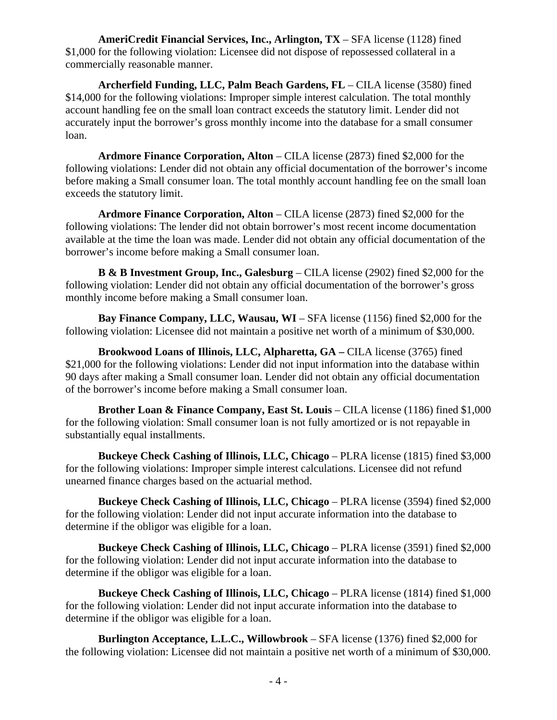**AmeriCredit Financial Services, Inc., Arlington, TX** – SFA license (1128) fined \$1,000 for the following violation: Licensee did not dispose of repossessed collateral in a commercially reasonable manner.

**Archerfield Funding, LLC, Palm Beach Gardens, FL** – CILA license (3580) fined \$14,000 for the following violations: Improper simple interest calculation. The total monthly account handling fee on the small loan contract exceeds the statutory limit. Lender did not accurately input the borrower's gross monthly income into the database for a small consumer loan.

**Ardmore Finance Corporation, Alton** – CILA license (2873) fined \$2,000 for the following violations: Lender did not obtain any official documentation of the borrower's income before making a Small consumer loan. The total monthly account handling fee on the small loan exceeds the statutory limit.

**Ardmore Finance Corporation, Alton** – CILA license (2873) fined \$2,000 for the following violations: The lender did not obtain borrower's most recent income documentation available at the time the loan was made. Lender did not obtain any official documentation of the borrower's income before making a Small consumer loan.

**B & B Investment Group, Inc., Galesburg** – CILA license (2902) fined \$2,000 for the following violation: Lender did not obtain any official documentation of the borrower's gross monthly income before making a Small consumer loan.

**Bay Finance Company, LLC, Wausau, WI** – SFA license (1156) fined \$2,000 for the following violation: Licensee did not maintain a positive net worth of a minimum of \$30,000.

**Brookwood Loans of Illinois, LLC, Alpharetta, GA –** CILA license (3765) fined \$21,000 for the following violations: Lender did not input information into the database within 90 days after making a Small consumer loan. Lender did not obtain any official documentation of the borrower's income before making a Small consumer loan.

**Brother Loan & Finance Company, East St. Louis – CILA license (1186) fined \$1,000** for the following violation: Small consumer loan is not fully amortized or is not repayable in substantially equal installments.

**Buckeye Check Cashing of Illinois, LLC, Chicago** – PLRA license (1815) fined \$3,000 for the following violations: Improper simple interest calculations. Licensee did not refund unearned finance charges based on the actuarial method.

**Buckeye Check Cashing of Illinois, LLC, Chicago** – PLRA license (3594) fined \$2,000 for the following violation: Lender did not input accurate information into the database to determine if the obligor was eligible for a loan.

**Buckeye Check Cashing of Illinois, LLC, Chicago** – PLRA license (3591) fined \$2,000 for the following violation: Lender did not input accurate information into the database to determine if the obligor was eligible for a loan.

**Buckeye Check Cashing of Illinois, LLC, Chicago** – PLRA license (1814) fined \$1,000 for the following violation: Lender did not input accurate information into the database to determine if the obligor was eligible for a loan.

**Burlington Acceptance, L.L.C., Willowbrook** – SFA license (1376) fined \$2,000 for the following violation: Licensee did not maintain a positive net worth of a minimum of \$30,000.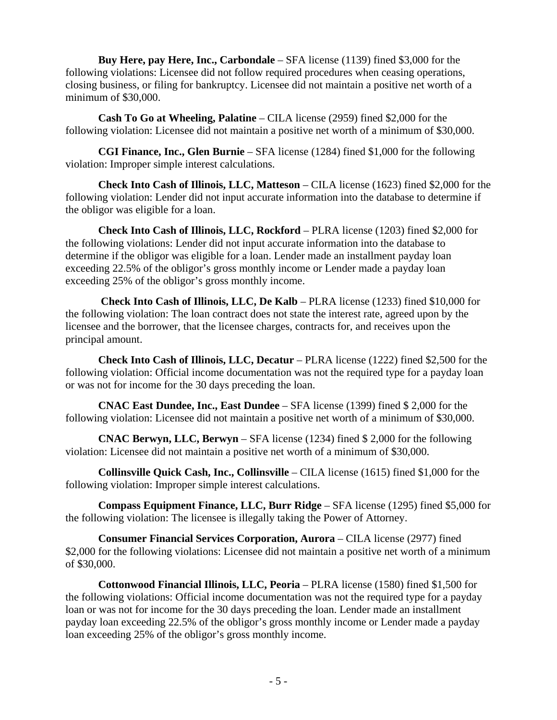**Buy Here, pay Here, Inc., Carbondale** – SFA license (1139) fined \$3,000 for the following violations: Licensee did not follow required procedures when ceasing operations, closing business, or filing for bankruptcy. Licensee did not maintain a positive net worth of a minimum of \$30,000.

**Cash To Go at Wheeling, Palatine** – CILA license (2959) fined \$2,000 for the following violation: Licensee did not maintain a positive net worth of a minimum of \$30,000.

**CGI Finance, Inc., Glen Burnie** – SFA license (1284) fined \$1,000 for the following violation: Improper simple interest calculations.

**Check Into Cash of Illinois, LLC, Matteson** – CILA license (1623) fined \$2,000 for the following violation: Lender did not input accurate information into the database to determine if the obligor was eligible for a loan.

**Check Into Cash of Illinois, LLC, Rockford** – PLRA license (1203) fined \$2,000 for the following violations: Lender did not input accurate information into the database to determine if the obligor was eligible for a loan. Lender made an installment payday loan exceeding 22.5% of the obligor's gross monthly income or Lender made a payday loan exceeding 25% of the obligor's gross monthly income.

**Check Into Cash of Illinois, LLC, De Kalb** – PLRA license (1233) fined \$10,000 for the following violation: The loan contract does not state the interest rate, agreed upon by the licensee and the borrower, that the licensee charges, contracts for, and receives upon the principal amount.

**Check Into Cash of Illinois, LLC, Decatur** – PLRA license (1222) fined \$2,500 for the following violation: Official income documentation was not the required type for a payday loan or was not for income for the 30 days preceding the loan.

**CNAC East Dundee, Inc., East Dundee** – SFA license (1399) fined \$ 2,000 for the following violation: Licensee did not maintain a positive net worth of a minimum of \$30,000.

**CNAC Berwyn, LLC, Berwyn** – SFA license (1234) fined \$ 2,000 for the following violation: Licensee did not maintain a positive net worth of a minimum of \$30,000.

**Collinsville Quick Cash, Inc., Collinsville** – CILA license (1615) fined \$1,000 for the following violation: Improper simple interest calculations.

**Compass Equipment Finance, LLC, Burr Ridge** – SFA license (1295) fined \$5,000 for the following violation: The licensee is illegally taking the Power of Attorney.

**Consumer Financial Services Corporation, Aurora** – CILA license (2977) fined \$2,000 for the following violations: Licensee did not maintain a positive net worth of a minimum of \$30,000.

**Cottonwood Financial Illinois, LLC, Peoria** – PLRA license (1580) fined \$1,500 for the following violations: Official income documentation was not the required type for a payday loan or was not for income for the 30 days preceding the loan. Lender made an installment payday loan exceeding 22.5% of the obligor's gross monthly income or Lender made a payday loan exceeding 25% of the obligor's gross monthly income.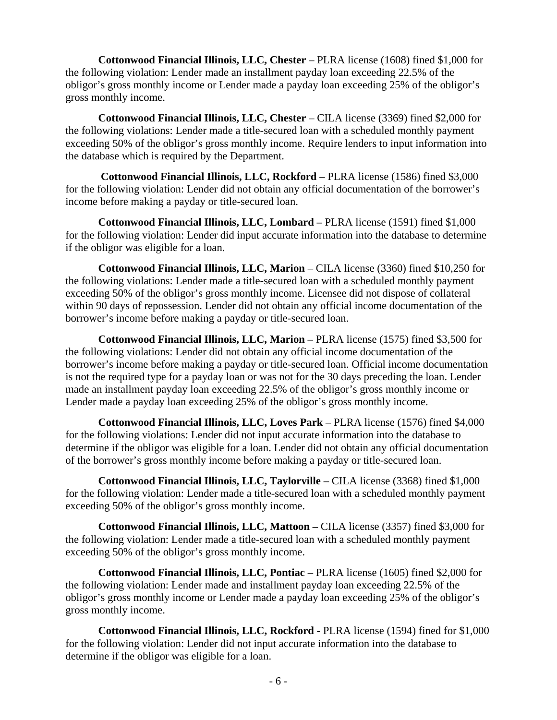**Cottonwood Financial Illinois, LLC, Chester** – PLRA license (1608) fined \$1,000 for the following violation: Lender made an installment payday loan exceeding 22.5% of the obligor's gross monthly income or Lender made a payday loan exceeding 25% of the obligor's gross monthly income.

**Cottonwood Financial Illinois, LLC, Chester** – CILA license (3369) fined \$2,000 for the following violations: Lender made a title-secured loan with a scheduled monthly payment exceeding 50% of the obligor's gross monthly income. Require lenders to input information into the database which is required by the Department.

 **Cottonwood Financial Illinois, LLC, Rockford** – PLRA license (1586) fined \$3,000 for the following violation: Lender did not obtain any official documentation of the borrower's income before making a payday or title-secured loan.

**Cottonwood Financial Illinois, LLC, Lombard –** PLRA license (1591) fined \$1,000 for the following violation: Lender did input accurate information into the database to determine if the obligor was eligible for a loan.

**Cottonwood Financial Illinois, LLC, Marion** – CILA license (3360) fined \$10,250 for the following violations: Lender made a title-secured loan with a scheduled monthly payment exceeding 50% of the obligor's gross monthly income. Licensee did not dispose of collateral within 90 days of repossession. Lender did not obtain any official income documentation of the borrower's income before making a payday or title-secured loan.

**Cottonwood Financial Illinois, LLC, Marion –** PLRA license (1575) fined \$3,500 for the following violations: Lender did not obtain any official income documentation of the borrower's income before making a payday or title-secured loan. Official income documentation is not the required type for a payday loan or was not for the 30 days preceding the loan. Lender made an installment payday loan exceeding 22.5% of the obligor's gross monthly income or Lender made a payday loan exceeding 25% of the obligor's gross monthly income.

**Cottonwood Financial Illinois, LLC, Loves Park** – PLRA license (1576) fined \$4,000 for the following violations: Lender did not input accurate information into the database to determine if the obligor was eligible for a loan. Lender did not obtain any official documentation of the borrower's gross monthly income before making a payday or title-secured loan.

**Cottonwood Financial Illinois, LLC, Taylorville** – CILA license (3368) fined \$1,000 for the following violation: Lender made a title-secured loan with a scheduled monthly payment exceeding 50% of the obligor's gross monthly income.

**Cottonwood Financial Illinois, LLC, Mattoon –** CILA license (3357) fined \$3,000 for the following violation: Lender made a title-secured loan with a scheduled monthly payment exceeding 50% of the obligor's gross monthly income.

**Cottonwood Financial Illinois, LLC, Pontiac** – PLRA license (1605) fined \$2,000 for the following violation: Lender made and installment payday loan exceeding 22.5% of the obligor's gross monthly income or Lender made a payday loan exceeding 25% of the obligor's gross monthly income.

**Cottonwood Financial Illinois, LLC, Rockford** - PLRA license (1594) fined for \$1,000 for the following violation: Lender did not input accurate information into the database to determine if the obligor was eligible for a loan.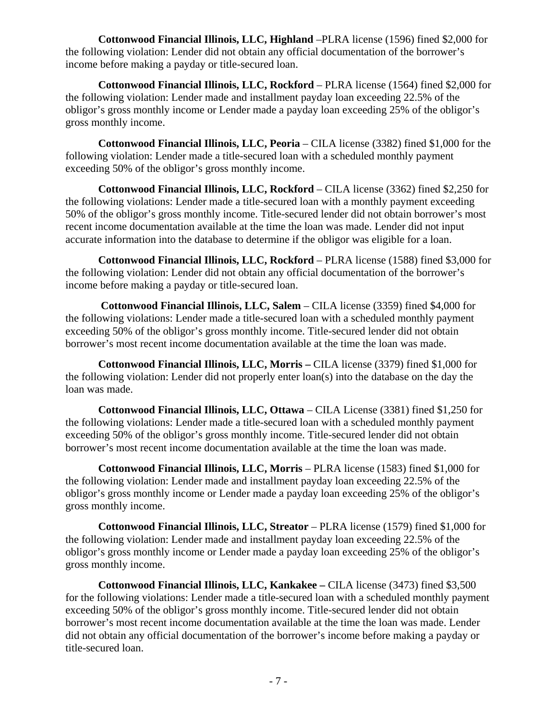**Cottonwood Financial Illinois, LLC, Highland** –PLRA license (1596) fined \$2,000 for the following violation: Lender did not obtain any official documentation of the borrower's income before making a payday or title-secured loan.

**Cottonwood Financial Illinois, LLC, Rockford** – PLRA license (1564) fined \$2,000 for the following violation: Lender made and installment payday loan exceeding 22.5% of the obligor's gross monthly income or Lender made a payday loan exceeding 25% of the obligor's gross monthly income.

**Cottonwood Financial Illinois, LLC, Peoria** – CILA license (3382) fined \$1,000 for the following violation: Lender made a title-secured loan with a scheduled monthly payment exceeding 50% of the obligor's gross monthly income.

**Cottonwood Financial Illinois, LLC, Rockford** – CILA license (3362) fined \$2,250 for the following violations: Lender made a title-secured loan with a monthly payment exceeding 50% of the obligor's gross monthly income. Title-secured lender did not obtain borrower's most recent income documentation available at the time the loan was made. Lender did not input accurate information into the database to determine if the obligor was eligible for a loan.

**Cottonwood Financial Illinois, LLC, Rockford** – PLRA license (1588) fined \$3,000 for the following violation: Lender did not obtain any official documentation of the borrower's income before making a payday or title-secured loan.

 **Cottonwood Financial Illinois, LLC, Salem** – CILA license (3359) fined \$4,000 for the following violations: Lender made a title-secured loan with a scheduled monthly payment exceeding 50% of the obligor's gross monthly income. Title-secured lender did not obtain borrower's most recent income documentation available at the time the loan was made.

**Cottonwood Financial Illinois, LLC, Morris –** CILA license (3379) fined \$1,000 for the following violation: Lender did not properly enter loan(s) into the database on the day the loan was made.

**Cottonwood Financial Illinois, LLC, Ottawa** – CILA License (3381) fined \$1,250 for the following violations: Lender made a title-secured loan with a scheduled monthly payment exceeding 50% of the obligor's gross monthly income. Title-secured lender did not obtain borrower's most recent income documentation available at the time the loan was made.

**Cottonwood Financial Illinois, LLC, Morris** – PLRA license (1583) fined \$1,000 for the following violation: Lender made and installment payday loan exceeding 22.5% of the obligor's gross monthly income or Lender made a payday loan exceeding 25% of the obligor's gross monthly income.

**Cottonwood Financial Illinois, LLC, Streator** – PLRA license (1579) fined \$1,000 for the following violation: Lender made and installment payday loan exceeding 22.5% of the obligor's gross monthly income or Lender made a payday loan exceeding 25% of the obligor's gross monthly income.

**Cottonwood Financial Illinois, LLC, Kankakee –** CILA license (3473) fined \$3,500 for the following violations: Lender made a title-secured loan with a scheduled monthly payment exceeding 50% of the obligor's gross monthly income. Title-secured lender did not obtain borrower's most recent income documentation available at the time the loan was made. Lender did not obtain any official documentation of the borrower's income before making a payday or title-secured loan.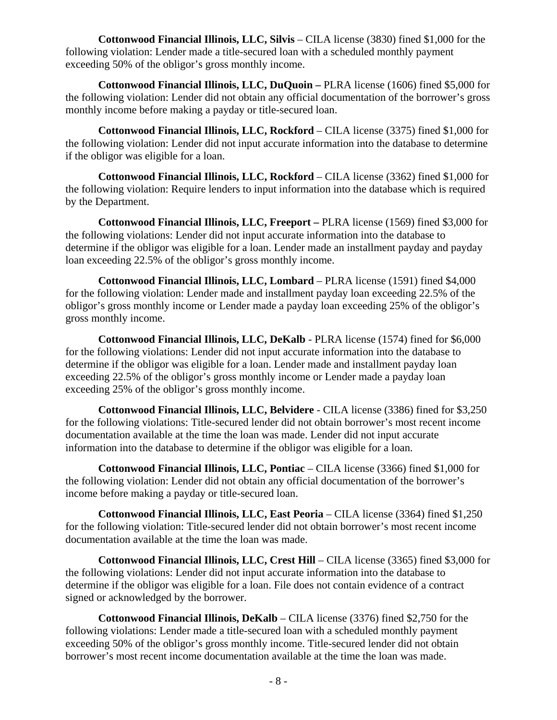**Cottonwood Financial Illinois, LLC, Silvis** – CILA license (3830) fined \$1,000 for the following violation: Lender made a title-secured loan with a scheduled monthly payment exceeding 50% of the obligor's gross monthly income.

**Cottonwood Financial Illinois, LLC, DuQuoin –** PLRA license (1606) fined \$5,000 for the following violation: Lender did not obtain any official documentation of the borrower's gross monthly income before making a payday or title-secured loan.

**Cottonwood Financial Illinois, LLC, Rockford** – CILA license (3375) fined \$1,000 for the following violation: Lender did not input accurate information into the database to determine if the obligor was eligible for a loan.

**Cottonwood Financial Illinois, LLC, Rockford** – CILA license (3362) fined \$1,000 for the following violation: Require lenders to input information into the database which is required by the Department.

**Cottonwood Financial Illinois, LLC, Freeport –** PLRA license (1569) fined \$3,000 for the following violations: Lender did not input accurate information into the database to determine if the obligor was eligible for a loan. Lender made an installment payday and payday loan exceeding 22.5% of the obligor's gross monthly income.

**Cottonwood Financial Illinois, LLC, Lombard** – PLRA license (1591) fined \$4,000 for the following violation: Lender made and installment payday loan exceeding 22.5% of the obligor's gross monthly income or Lender made a payday loan exceeding 25% of the obligor's gross monthly income.

**Cottonwood Financial Illinois, LLC, DeKalb** - PLRA license (1574) fined for \$6,000 for the following violations: Lender did not input accurate information into the database to determine if the obligor was eligible for a loan. Lender made and installment payday loan exceeding 22.5% of the obligor's gross monthly income or Lender made a payday loan exceeding 25% of the obligor's gross monthly income.

**Cottonwood Financial Illinois, LLC, Belvidere** - CILA license (3386) fined for \$3,250 for the following violations: Title-secured lender did not obtain borrower's most recent income documentation available at the time the loan was made. Lender did not input accurate information into the database to determine if the obligor was eligible for a loan.

**Cottonwood Financial Illinois, LLC, Pontiac** – CILA license (3366) fined \$1,000 for the following violation: Lender did not obtain any official documentation of the borrower's income before making a payday or title-secured loan.

**Cottonwood Financial Illinois, LLC, East Peoria** – CILA license (3364) fined \$1,250 for the following violation: Title-secured lender did not obtain borrower's most recent income documentation available at the time the loan was made.

**Cottonwood Financial Illinois, LLC, Crest Hill** – CILA license (3365) fined \$3,000 for the following violations: Lender did not input accurate information into the database to determine if the obligor was eligible for a loan. File does not contain evidence of a contract signed or acknowledged by the borrower.

**Cottonwood Financial Illinois, DeKalb** – CILA license (3376) fined \$2,750 for the following violations: Lender made a title-secured loan with a scheduled monthly payment exceeding 50% of the obligor's gross monthly income. Title-secured lender did not obtain borrower's most recent income documentation available at the time the loan was made.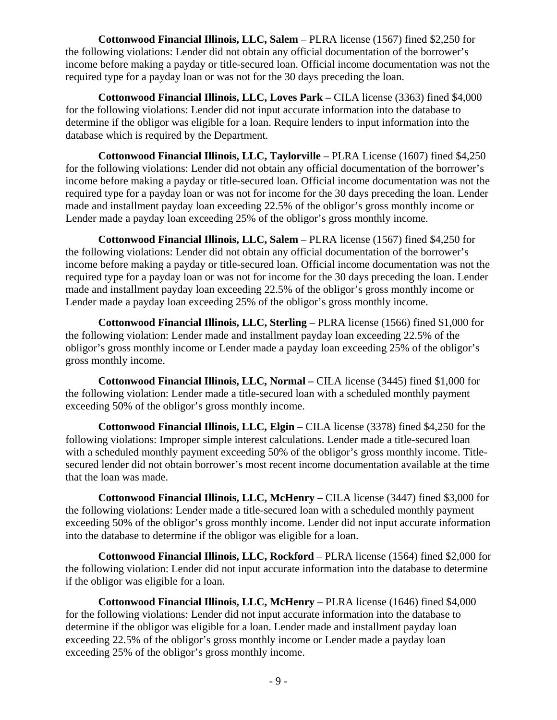**Cottonwood Financial Illinois, LLC, Salem** – PLRA license (1567) fined \$2,250 for the following violations: Lender did not obtain any official documentation of the borrower's income before making a payday or title-secured loan. Official income documentation was not the required type for a payday loan or was not for the 30 days preceding the loan.

**Cottonwood Financial Illinois, LLC, Loves Park –** CILA license (3363) fined \$4,000 for the following violations: Lender did not input accurate information into the database to determine if the obligor was eligible for a loan. Require lenders to input information into the database which is required by the Department.

**Cottonwood Financial Illinois, LLC, Taylorville** – PLRA License (1607) fined \$4,250 for the following violations: Lender did not obtain any official documentation of the borrower's income before making a payday or title-secured loan. Official income documentation was not the required type for a payday loan or was not for income for the 30 days preceding the loan. Lender made and installment payday loan exceeding 22.5% of the obligor's gross monthly income or Lender made a payday loan exceeding 25% of the obligor's gross monthly income.

**Cottonwood Financial Illinois, LLC, Salem** – PLRA license (1567) fined \$4,250 for the following violations: Lender did not obtain any official documentation of the borrower's income before making a payday or title-secured loan. Official income documentation was not the required type for a payday loan or was not for income for the 30 days preceding the loan. Lender made and installment payday loan exceeding 22.5% of the obligor's gross monthly income or Lender made a payday loan exceeding 25% of the obligor's gross monthly income.

**Cottonwood Financial Illinois, LLC, Sterling** – PLRA license (1566) fined \$1,000 for the following violation: Lender made and installment payday loan exceeding 22.5% of the obligor's gross monthly income or Lender made a payday loan exceeding 25% of the obligor's gross monthly income.

**Cottonwood Financial Illinois, LLC, Normal –** CILA license (3445) fined \$1,000 for the following violation: Lender made a title-secured loan with a scheduled monthly payment exceeding 50% of the obligor's gross monthly income.

**Cottonwood Financial Illinois, LLC, Elgin** – CILA license (3378) fined \$4,250 for the following violations: Improper simple interest calculations. Lender made a title-secured loan with a scheduled monthly payment exceeding 50% of the obligor's gross monthly income. Titlesecured lender did not obtain borrower's most recent income documentation available at the time that the loan was made.

**Cottonwood Financial Illinois, LLC, McHenry** – CILA license (3447) fined \$3,000 for the following violations: Lender made a title-secured loan with a scheduled monthly payment exceeding 50% of the obligor's gross monthly income. Lender did not input accurate information into the database to determine if the obligor was eligible for a loan.

**Cottonwood Financial Illinois, LLC, Rockford** – PLRA license (1564) fined \$2,000 for the following violation: Lender did not input accurate information into the database to determine if the obligor was eligible for a loan.

**Cottonwood Financial Illinois, LLC, McHenry** – PLRA license (1646) fined \$4,000 for the following violations: Lender did not input accurate information into the database to determine if the obligor was eligible for a loan. Lender made and installment payday loan exceeding 22.5% of the obligor's gross monthly income or Lender made a payday loan exceeding 25% of the obligor's gross monthly income.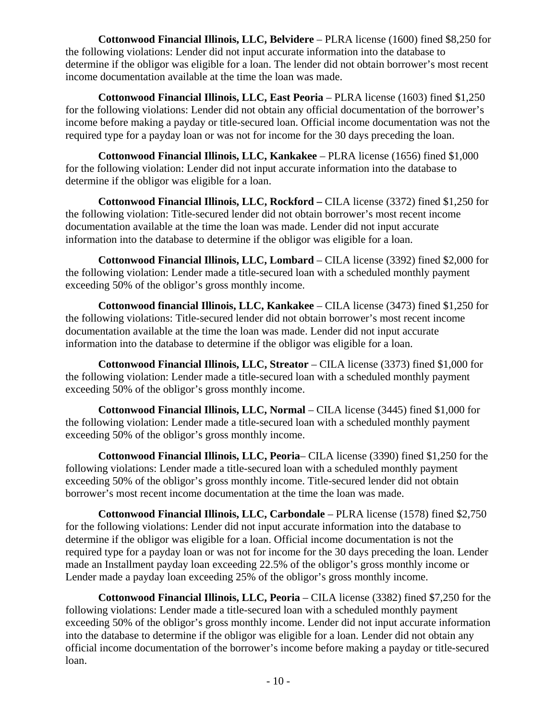**Cottonwood Financial Illinois, LLC, Belvidere** – PLRA license (1600) fined \$8,250 for the following violations: Lender did not input accurate information into the database to determine if the obligor was eligible for a loan. The lender did not obtain borrower's most recent income documentation available at the time the loan was made.

**Cottonwood Financial Illinois, LLC, East Peoria** – PLRA license (1603) fined \$1,250 for the following violations: Lender did not obtain any official documentation of the borrower's income before making a payday or title-secured loan. Official income documentation was not the required type for a payday loan or was not for income for the 30 days preceding the loan.

**Cottonwood Financial Illinois, LLC, Kankakee** – PLRA license (1656) fined \$1,000 for the following violation: Lender did not input accurate information into the database to determine if the obligor was eligible for a loan.

**Cottonwood Financial Illinois, LLC, Rockford –** CILA license (3372) fined \$1,250 for the following violation: Title-secured lender did not obtain borrower's most recent income documentation available at the time the loan was made. Lender did not input accurate information into the database to determine if the obligor was eligible for a loan.

**Cottonwood Financial Illinois, LLC, Lombard** – CILA license (3392) fined \$2,000 for the following violation: Lender made a title-secured loan with a scheduled monthly payment exceeding 50% of the obligor's gross monthly income.

**Cottonwood financial Illinois, LLC, Kankakee** – CILA license (3473) fined \$1,250 for the following violations: Title-secured lender did not obtain borrower's most recent income documentation available at the time the loan was made. Lender did not input accurate information into the database to determine if the obligor was eligible for a loan.

**Cottonwood Financial Illinois, LLC, Streator** – CILA license (3373) fined \$1,000 for the following violation: Lender made a title-secured loan with a scheduled monthly payment exceeding 50% of the obligor's gross monthly income.

**Cottonwood Financial Illinois, LLC, Normal** – CILA license (3445) fined \$1,000 for the following violation: Lender made a title-secured loan with a scheduled monthly payment exceeding 50% of the obligor's gross monthly income.

**Cottonwood Financial Illinois, LLC, Peoria**– CILA license (3390) fined \$1,250 for the following violations: Lender made a title-secured loan with a scheduled monthly payment exceeding 50% of the obligor's gross monthly income. Title-secured lender did not obtain borrower's most recent income documentation at the time the loan was made.

**Cottonwood Financial Illinois, LLC, Carbondale** – PLRA license (1578) fined \$2,750 for the following violations: Lender did not input accurate information into the database to determine if the obligor was eligible for a loan. Official income documentation is not the required type for a payday loan or was not for income for the 30 days preceding the loan. Lender made an Installment payday loan exceeding 22.5% of the obligor's gross monthly income or Lender made a payday loan exceeding 25% of the obligor's gross monthly income.

**Cottonwood Financial Illinois, LLC, Peoria** – CILA license (3382) fined \$7,250 for the following violations: Lender made a title-secured loan with a scheduled monthly payment exceeding 50% of the obligor's gross monthly income. Lender did not input accurate information into the database to determine if the obligor was eligible for a loan. Lender did not obtain any official income documentation of the borrower's income before making a payday or title-secured loan.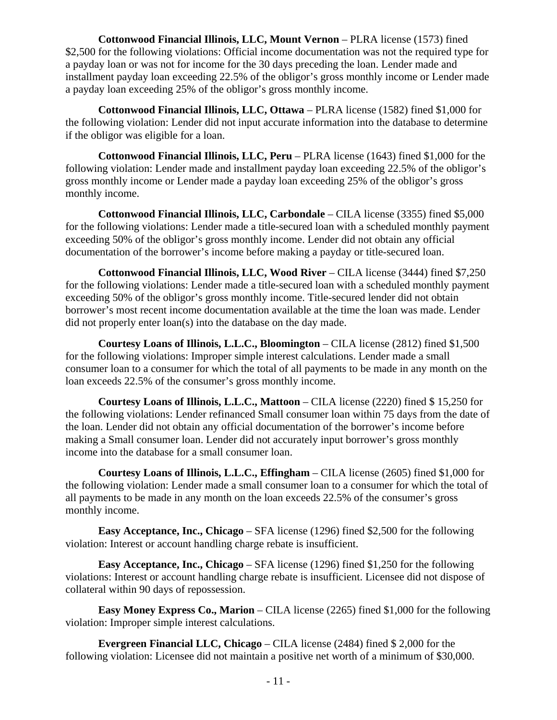**Cottonwood Financial Illinois, LLC, Mount Vernon** – PLRA license (1573) fined \$2,500 for the following violations: Official income documentation was not the required type for a payday loan or was not for income for the 30 days preceding the loan. Lender made and installment payday loan exceeding 22.5% of the obligor's gross monthly income or Lender made a payday loan exceeding 25% of the obligor's gross monthly income.

**Cottonwood Financial Illinois, LLC, Ottawa** – PLRA license (1582) fined \$1,000 for the following violation: Lender did not input accurate information into the database to determine if the obligor was eligible for a loan.

**Cottonwood Financial Illinois, LLC, Peru** – PLRA license (1643) fined \$1,000 for the following violation: Lender made and installment payday loan exceeding 22.5% of the obligor's gross monthly income or Lender made a payday loan exceeding 25% of the obligor's gross monthly income.

**Cottonwood Financial Illinois, LLC, Carbondale** – CILA license (3355) fined \$5,000 for the following violations: Lender made a title-secured loan with a scheduled monthly payment exceeding 50% of the obligor's gross monthly income. Lender did not obtain any official documentation of the borrower's income before making a payday or title-secured loan.

**Cottonwood Financial Illinois, LLC, Wood River** – CILA license (3444) fined \$7,250 for the following violations: Lender made a title-secured loan with a scheduled monthly payment exceeding 50% of the obligor's gross monthly income. Title-secured lender did not obtain borrower's most recent income documentation available at the time the loan was made. Lender did not properly enter loan(s) into the database on the day made.

**Courtesy Loans of Illinois, L.L.C., Bloomington** – CILA license (2812) fined \$1,500 for the following violations: Improper simple interest calculations. Lender made a small consumer loan to a consumer for which the total of all payments to be made in any month on the loan exceeds 22.5% of the consumer's gross monthly income.

**Courtesy Loans of Illinois, L.L.C., Mattoon** – CILA license (2220) fined \$ 15,250 for the following violations: Lender refinanced Small consumer loan within 75 days from the date of the loan. Lender did not obtain any official documentation of the borrower's income before making a Small consumer loan. Lender did not accurately input borrower's gross monthly income into the database for a small consumer loan.

**Courtesy Loans of Illinois, L.L.C., Effingham** – CILA license (2605) fined \$1,000 for the following violation: Lender made a small consumer loan to a consumer for which the total of all payments to be made in any month on the loan exceeds 22.5% of the consumer's gross monthly income.

**Easy Acceptance, Inc., Chicago** – SFA license (1296) fined \$2,500 for the following violation: Interest or account handling charge rebate is insufficient.

**Easy Acceptance, Inc., Chicago** – SFA license (1296) fined \$1,250 for the following violations: Interest or account handling charge rebate is insufficient. Licensee did not dispose of collateral within 90 days of repossession.

**Easy Money Express Co., Marion** – CILA license (2265) fined \$1,000 for the following violation: Improper simple interest calculations.

**Evergreen Financial LLC, Chicago** – CILA license (2484) fined \$ 2,000 for the following violation: Licensee did not maintain a positive net worth of a minimum of \$30,000.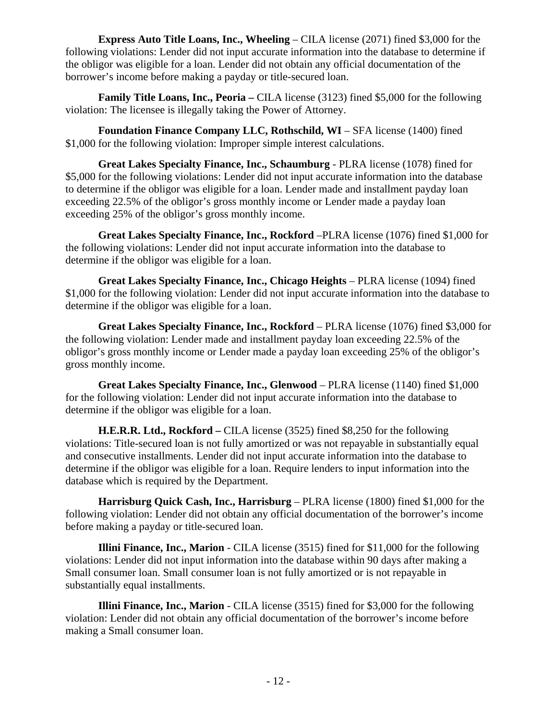**Express Auto Title Loans, Inc., Wheeling** – CILA license (2071) fined \$3,000 for the following violations: Lender did not input accurate information into the database to determine if the obligor was eligible for a loan. Lender did not obtain any official documentation of the borrower's income before making a payday or title-secured loan.

**Family Title Loans, Inc., Peoria** – CILA license (3123) fined \$5,000 for the following violation: The licensee is illegally taking the Power of Attorney.

**Foundation Finance Company LLC, Rothschild, WI – SFA license (1400) fined** \$1,000 for the following violation: Improper simple interest calculations.

**Great Lakes Specialty Finance, Inc., Schaumburg** - PLRA license (1078) fined for \$5,000 for the following violations: Lender did not input accurate information into the database to determine if the obligor was eligible for a loan. Lender made and installment payday loan exceeding 22.5% of the obligor's gross monthly income or Lender made a payday loan exceeding 25% of the obligor's gross monthly income.

**Great Lakes Specialty Finance, Inc., Rockford** –PLRA license (1076) fined \$1,000 for the following violations: Lender did not input accurate information into the database to determine if the obligor was eligible for a loan.

**Great Lakes Specialty Finance, Inc., Chicago Heights** – PLRA license (1094) fined \$1,000 for the following violation: Lender did not input accurate information into the database to determine if the obligor was eligible for a loan.

**Great Lakes Specialty Finance, Inc., Rockford** – PLRA license (1076) fined \$3,000 for the following violation: Lender made and installment payday loan exceeding 22.5% of the obligor's gross monthly income or Lender made a payday loan exceeding 25% of the obligor's gross monthly income.

**Great Lakes Specialty Finance, Inc., Glenwood** – PLRA license (1140) fined \$1,000 for the following violation: Lender did not input accurate information into the database to determine if the obligor was eligible for a loan.

**H.E.R.R. Ltd., Rockford –** CILA license (3525) fined \$8,250 for the following violations: Title-secured loan is not fully amortized or was not repayable in substantially equal and consecutive installments. Lender did not input accurate information into the database to determine if the obligor was eligible for a loan. Require lenders to input information into the database which is required by the Department.

**Harrisburg Quick Cash, Inc., Harrisburg** – PLRA license (1800) fined \$1,000 for the following violation: Lender did not obtain any official documentation of the borrower's income before making a payday or title-secured loan.

**Illini Finance, Inc., Marion** - CILA license (3515) fined for \$11,000 for the following violations: Lender did not input information into the database within 90 days after making a Small consumer loan. Small consumer loan is not fully amortized or is not repayable in substantially equal installments.

**Illini Finance, Inc., Marion** - CILA license (3515) fined for \$3,000 for the following violation: Lender did not obtain any official documentation of the borrower's income before making a Small consumer loan.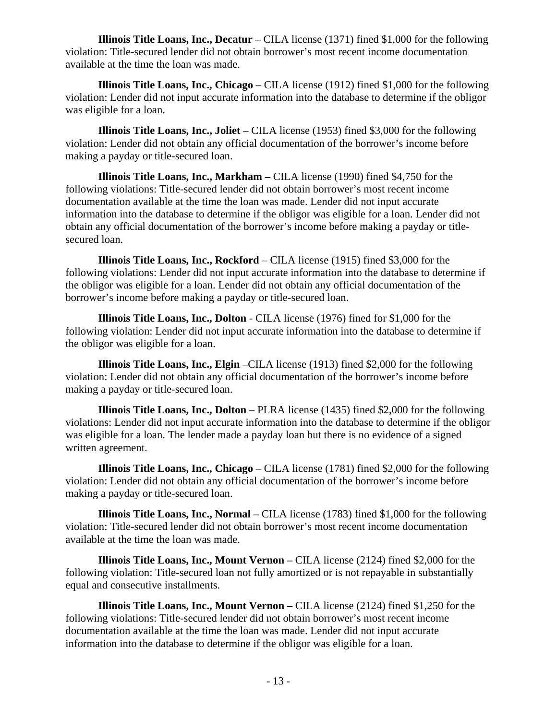**Illinois Title Loans, Inc., Decatur** – CILA license (1371) fined \$1,000 for the following violation: Title-secured lender did not obtain borrower's most recent income documentation available at the time the loan was made.

**Illinois Title Loans, Inc., Chicago** – CILA license (1912) fined \$1,000 for the following violation: Lender did not input accurate information into the database to determine if the obligor was eligible for a loan.

**Illinois Title Loans, Inc., Joliet** – CILA license (1953) fined \$3,000 for the following violation: Lender did not obtain any official documentation of the borrower's income before making a payday or title-secured loan.

**Illinois Title Loans, Inc., Markham –** CILA license (1990) fined \$4,750 for the following violations: Title-secured lender did not obtain borrower's most recent income documentation available at the time the loan was made. Lender did not input accurate information into the database to determine if the obligor was eligible for a loan. Lender did not obtain any official documentation of the borrower's income before making a payday or titlesecured loan.

**Illinois Title Loans, Inc., Rockford** – CILA license (1915) fined \$3,000 for the following violations: Lender did not input accurate information into the database to determine if the obligor was eligible for a loan. Lender did not obtain any official documentation of the borrower's income before making a payday or title-secured loan.

**Illinois Title Loans, Inc., Dolton** - CILA license (1976) fined for \$1,000 for the following violation: Lender did not input accurate information into the database to determine if the obligor was eligible for a loan.

**Illinois Title Loans, Inc., Elgin** –CILA license (1913) fined \$2,000 for the following violation: Lender did not obtain any official documentation of the borrower's income before making a payday or title-secured loan.

**Illinois Title Loans, Inc., Dolton** – PLRA license (1435) fined \$2,000 for the following violations: Lender did not input accurate information into the database to determine if the obligor was eligible for a loan. The lender made a payday loan but there is no evidence of a signed written agreement.

**Illinois Title Loans, Inc., Chicago** – CILA license (1781) fined \$2,000 for the following violation: Lender did not obtain any official documentation of the borrower's income before making a payday or title-secured loan.

**Illinois Title Loans, Inc., Normal** – CILA license (1783) fined \$1,000 for the following violation: Title-secured lender did not obtain borrower's most recent income documentation available at the time the loan was made.

**Illinois Title Loans, Inc., Mount Vernon –** CILA license (2124) fined \$2,000 for the following violation: Title-secured loan not fully amortized or is not repayable in substantially equal and consecutive installments.

**Illinois Title Loans, Inc., Mount Vernon –** CILA license (2124) fined \$1,250 for the following violations: Title-secured lender did not obtain borrower's most recent income documentation available at the time the loan was made. Lender did not input accurate information into the database to determine if the obligor was eligible for a loan.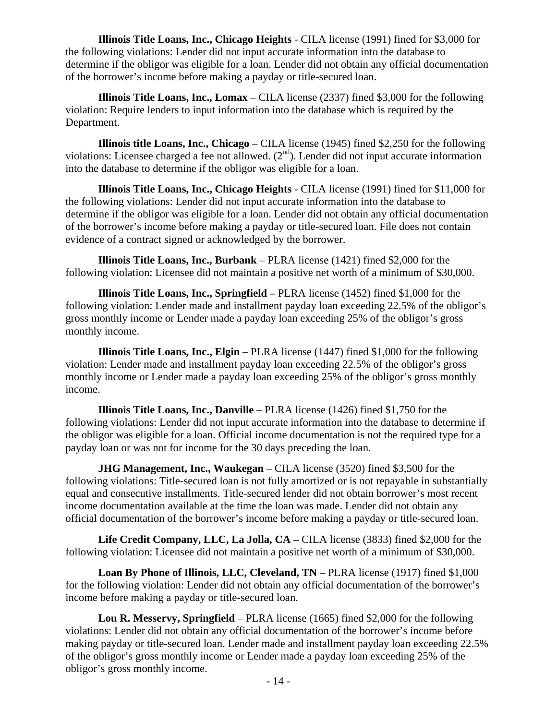**Illinois Title Loans, Inc., Chicago Heights** - CILA license (1991) fined for \$3,000 for the following violations: Lender did not input accurate information into the database to determine if the obligor was eligible for a loan. Lender did not obtain any official documentation of the borrower's income before making a payday or title-secured loan.

**Illinois Title Loans, Inc., Lomax** – CILA license (2337) fined \$3,000 for the following violation: Require lenders to input information into the database which is required by the Department.

**Illinois title Loans, Inc., Chicago** – CILA license (1945) fined \$2,250 for the following violations: Licensee charged a fee not allowed.  $(2<sup>nd</sup>)$ . Lender did not input accurate information into the database to determine if the obligor was eligible for a loan.

**Illinois Title Loans, Inc., Chicago Heights** - CILA license (1991) fined for \$11,000 for the following violations: Lender did not input accurate information into the database to determine if the obligor was eligible for a loan. Lender did not obtain any official documentation of the borrower's income before making a payday or title-secured loan. File does not contain evidence of a contract signed or acknowledged by the borrower.

**Illinois Title Loans, Inc., Burbank** – PLRA license (1421) fined \$2,000 for the following violation: Licensee did not maintain a positive net worth of a minimum of \$30,000.

**Illinois Title Loans, Inc., Springfield –** PLRA license (1452) fined \$1,000 for the following violation: Lender made and installment payday loan exceeding 22.5% of the obligor's gross monthly income or Lender made a payday loan exceeding 25% of the obligor's gross monthly income.

**Illinois Title Loans, Inc., Elgin** – PLRA license (1447) fined \$1,000 for the following violation: Lender made and installment payday loan exceeding 22.5% of the obligor's gross monthly income or Lender made a payday loan exceeding 25% of the obligor's gross monthly income.

**Illinois Title Loans, Inc., Danville** – PLRA license (1426) fined \$1,750 for the following violations: Lender did not input accurate information into the database to determine if the obligor was eligible for a loan. Official income documentation is not the required type for a payday loan or was not for income for the 30 days preceding the loan.

**JHG Management, Inc., Waukegan** – CILA license (3520) fined \$3,500 for the following violations: Title-secured loan is not fully amortized or is not repayable in substantially equal and consecutive installments. Title-secured lender did not obtain borrower's most recent income documentation available at the time the loan was made. Lender did not obtain any official documentation of the borrower's income before making a payday or title-secured loan.

**Life Credit Company, LLC, La Jolla, CA –** CILA license (3833) fined \$2,000 for the following violation: Licensee did not maintain a positive net worth of a minimum of \$30,000.

**Loan By Phone of Illinois, LLC, Cleveland, TN** – PLRA license (1917) fined \$1,000 for the following violation: Lender did not obtain any official documentation of the borrower's income before making a payday or title-secured loan.

**Lou R. Messervy, Springfield** – PLRA license (1665) fined \$2,000 for the following violations: Lender did not obtain any official documentation of the borrower's income before making payday or title-secured loan. Lender made and installment payday loan exceeding 22.5% of the obligor's gross monthly income or Lender made a payday loan exceeding 25% of the obligor's gross monthly income.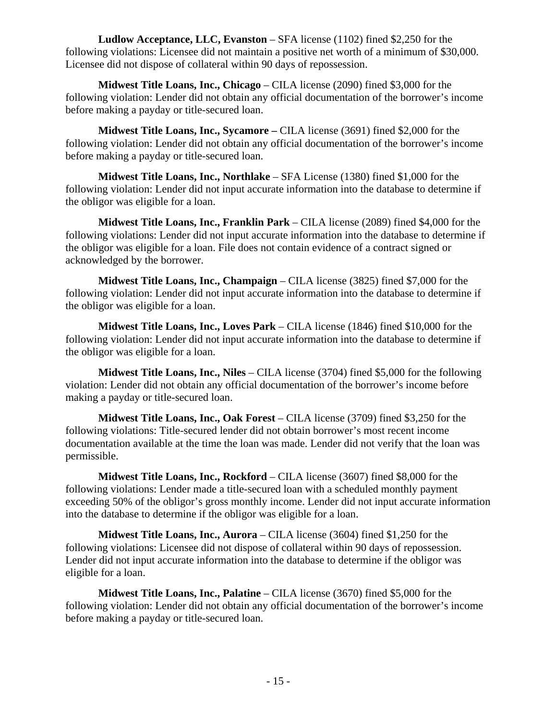**Ludlow Acceptance, LLC, Evanston** – SFA license (1102) fined \$2,250 for the following violations: Licensee did not maintain a positive net worth of a minimum of \$30,000. Licensee did not dispose of collateral within 90 days of repossession.

**Midwest Title Loans, Inc., Chicago** – CILA license (2090) fined \$3,000 for the following violation: Lender did not obtain any official documentation of the borrower's income before making a payday or title-secured loan.

**Midwest Title Loans, Inc., Sycamore –** CILA license (3691) fined \$2,000 for the following violation: Lender did not obtain any official documentation of the borrower's income before making a payday or title-secured loan.

**Midwest Title Loans, Inc., Northlake** – SFA License (1380) fined \$1,000 for the following violation: Lender did not input accurate information into the database to determine if the obligor was eligible for a loan.

**Midwest Title Loans, Inc., Franklin Park** – CILA license (2089) fined \$4,000 for the following violations: Lender did not input accurate information into the database to determine if the obligor was eligible for a loan. File does not contain evidence of a contract signed or acknowledged by the borrower.

**Midwest Title Loans, Inc., Champaign** – CILA license (3825) fined \$7,000 for the following violation: Lender did not input accurate information into the database to determine if the obligor was eligible for a loan.

**Midwest Title Loans, Inc., Loves Park** – CILA license (1846) fined \$10,000 for the following violation: Lender did not input accurate information into the database to determine if the obligor was eligible for a loan.

**Midwest Title Loans, Inc., Niles** – CILA license (3704) fined \$5,000 for the following violation: Lender did not obtain any official documentation of the borrower's income before making a payday or title-secured loan.

**Midwest Title Loans, Inc., Oak Forest** – CILA license (3709) fined \$3,250 for the following violations: Title-secured lender did not obtain borrower's most recent income documentation available at the time the loan was made. Lender did not verify that the loan was permissible.

**Midwest Title Loans, Inc., Rockford** – CILA license (3607) fined \$8,000 for the following violations: Lender made a title-secured loan with a scheduled monthly payment exceeding 50% of the obligor's gross monthly income. Lender did not input accurate information into the database to determine if the obligor was eligible for a loan.

**Midwest Title Loans, Inc., Aurora** – CILA license (3604) fined \$1,250 for the following violations: Licensee did not dispose of collateral within 90 days of repossession. Lender did not input accurate information into the database to determine if the obligor was eligible for a loan.

**Midwest Title Loans, Inc., Palatine** – CILA license (3670) fined \$5,000 for the following violation: Lender did not obtain any official documentation of the borrower's income before making a payday or title-secured loan.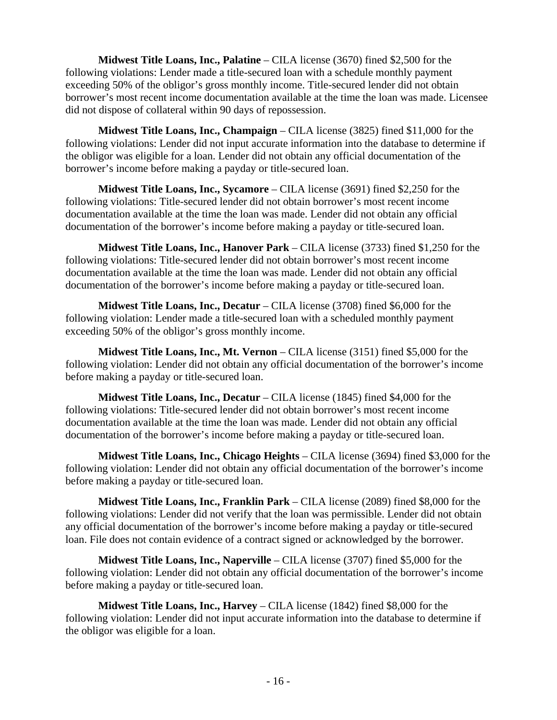**Midwest Title Loans, Inc., Palatine** – CILA license (3670) fined \$2,500 for the following violations: Lender made a title-secured loan with a schedule monthly payment exceeding 50% of the obligor's gross monthly income. Title-secured lender did not obtain borrower's most recent income documentation available at the time the loan was made. Licensee did not dispose of collateral within 90 days of repossession.

**Midwest Title Loans, Inc., Champaign** – CILA license (3825) fined \$11,000 for the following violations: Lender did not input accurate information into the database to determine if the obligor was eligible for a loan. Lender did not obtain any official documentation of the borrower's income before making a payday or title-secured loan.

**Midwest Title Loans, Inc., Sycamore** – CILA license (3691) fined \$2,250 for the following violations: Title-secured lender did not obtain borrower's most recent income documentation available at the time the loan was made. Lender did not obtain any official documentation of the borrower's income before making a payday or title-secured loan.

**Midwest Title Loans, Inc., Hanover Park** – CILA license (3733) fined \$1,250 for the following violations: Title-secured lender did not obtain borrower's most recent income documentation available at the time the loan was made. Lender did not obtain any official documentation of the borrower's income before making a payday or title-secured loan.

**Midwest Title Loans, Inc., Decatur** – CILA license (3708) fined \$6,000 for the following violation: Lender made a title-secured loan with a scheduled monthly payment exceeding 50% of the obligor's gross monthly income.

**Midwest Title Loans, Inc., Mt. Vernon** – CILA license (3151) fined \$5,000 for the following violation: Lender did not obtain any official documentation of the borrower's income before making a payday or title-secured loan.

**Midwest Title Loans, Inc., Decatur** – CILA license (1845) fined \$4,000 for the following violations: Title-secured lender did not obtain borrower's most recent income documentation available at the time the loan was made. Lender did not obtain any official documentation of the borrower's income before making a payday or title-secured loan.

**Midwest Title Loans, Inc., Chicago Heights** – CILA license (3694) fined \$3,000 for the following violation: Lender did not obtain any official documentation of the borrower's income before making a payday or title-secured loan.

**Midwest Title Loans, Inc., Franklin Park** – CILA license (2089) fined \$8,000 for the following violations: Lender did not verify that the loan was permissible. Lender did not obtain any official documentation of the borrower's income before making a payday or title-secured loan. File does not contain evidence of a contract signed or acknowledged by the borrower.

**Midwest Title Loans, Inc., Naperville** – CILA license (3707) fined \$5,000 for the following violation: Lender did not obtain any official documentation of the borrower's income before making a payday or title-secured loan.

**Midwest Title Loans, Inc., Harvey** – CILA license (1842) fined \$8,000 for the following violation: Lender did not input accurate information into the database to determine if the obligor was eligible for a loan.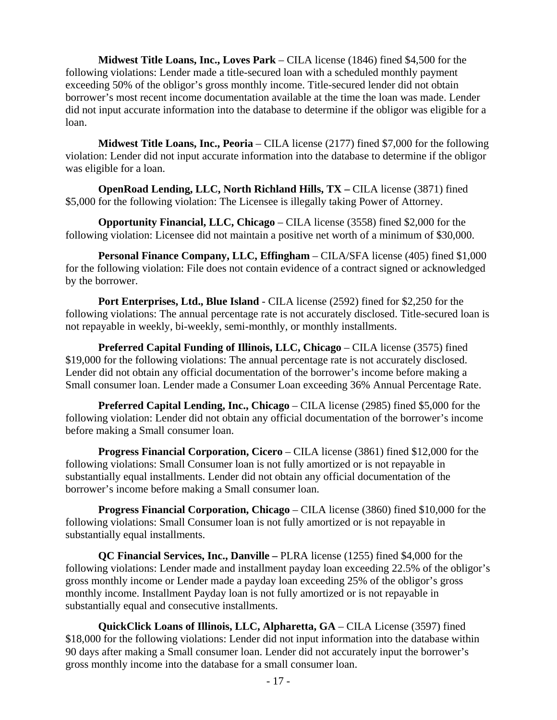**Midwest Title Loans, Inc., Loves Park** – CILA license (1846) fined \$4,500 for the following violations: Lender made a title-secured loan with a scheduled monthly payment exceeding 50% of the obligor's gross monthly income. Title-secured lender did not obtain borrower's most recent income documentation available at the time the loan was made. Lender did not input accurate information into the database to determine if the obligor was eligible for a loan.

**Midwest Title Loans, Inc., Peoria** – CILA license (2177) fined \$7,000 for the following violation: Lender did not input accurate information into the database to determine if the obligor was eligible for a loan.

**OpenRoad Lending, LLC, North Richland Hills, TX –** CILA license (3871) fined \$5,000 for the following violation: The Licensee is illegally taking Power of Attorney.

**Opportunity Financial, LLC, Chicago** – CILA license (3558) fined \$2,000 for the following violation: Licensee did not maintain a positive net worth of a minimum of \$30,000.

**Personal Finance Company, LLC, Effingham** – CILA/SFA license (405) fined \$1,000 for the following violation: File does not contain evidence of a contract signed or acknowledged by the borrower.

**Port Enterprises, Ltd., Blue Island** - CILA license (2592) fined for \$2,250 for the following violations: The annual percentage rate is not accurately disclosed. Title-secured loan is not repayable in weekly, bi-weekly, semi-monthly, or monthly installments.

**Preferred Capital Funding of Illinois, LLC, Chicago – CILA license (3575) fined** \$19,000 for the following violations: The annual percentage rate is not accurately disclosed. Lender did not obtain any official documentation of the borrower's income before making a Small consumer loan. Lender made a Consumer Loan exceeding 36% Annual Percentage Rate.

**Preferred Capital Lending, Inc., Chicago** – CILA license (2985) fined \$5,000 for the following violation: Lender did not obtain any official documentation of the borrower's income before making a Small consumer loan.

**Progress Financial Corporation, Cicero** – CILA license (3861) fined \$12,000 for the following violations: Small Consumer loan is not fully amortized or is not repayable in substantially equal installments. Lender did not obtain any official documentation of the borrower's income before making a Small consumer loan.

**Progress Financial Corporation, Chicago** – CILA license (3860) fined \$10,000 for the following violations: Small Consumer loan is not fully amortized or is not repayable in substantially equal installments.

**QC Financial Services, Inc., Danville –** PLRA license (1255) fined \$4,000 for the following violations: Lender made and installment payday loan exceeding 22.5% of the obligor's gross monthly income or Lender made a payday loan exceeding 25% of the obligor's gross monthly income. Installment Payday loan is not fully amortized or is not repayable in substantially equal and consecutive installments.

**QuickClick Loans of Illinois, LLC, Alpharetta, GA** – CILA License (3597) fined \$18,000 for the following violations: Lender did not input information into the database within 90 days after making a Small consumer loan. Lender did not accurately input the borrower's gross monthly income into the database for a small consumer loan.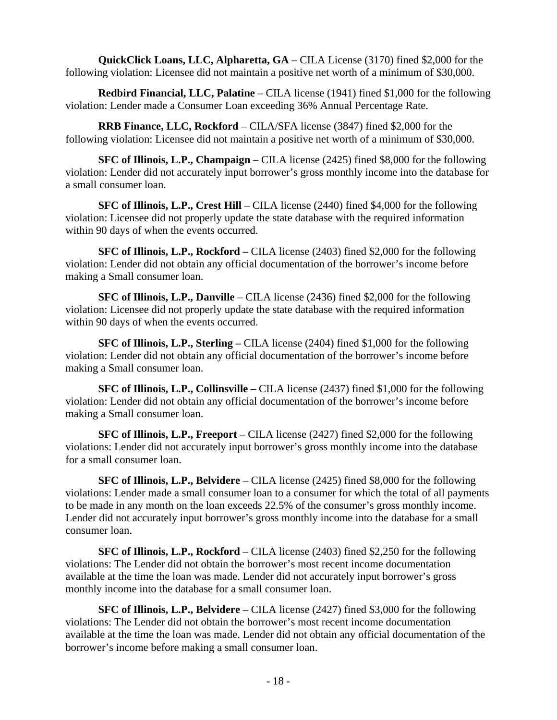**QuickClick Loans, LLC, Alpharetta, GA** – CILA License (3170) fined \$2,000 for the following violation: Licensee did not maintain a positive net worth of a minimum of \$30,000.

**Redbird Financial, LLC, Palatine** – CILA license (1941) fined \$1,000 for the following violation: Lender made a Consumer Loan exceeding 36% Annual Percentage Rate.

**RRB Finance, LLC, Rockford** – CILA/SFA license (3847) fined \$2,000 for the following violation: Licensee did not maintain a positive net worth of a minimum of \$30,000.

**SFC of Illinois, L.P., Champaign** – CILA license (2425) fined \$8,000 for the following violation: Lender did not accurately input borrower's gross monthly income into the database for a small consumer loan.

**SFC of Illinois, L.P., Crest Hill** – CILA license (2440) fined \$4,000 for the following violation: Licensee did not properly update the state database with the required information within 90 days of when the events occurred.

**SFC of Illinois, L.P., Rockford –** CILA license (2403) fined \$2,000 for the following violation: Lender did not obtain any official documentation of the borrower's income before making a Small consumer loan.

**SFC of Illinois, L.P., Danville** – CILA license (2436) fined \$2,000 for the following violation: Licensee did not properly update the state database with the required information within 90 days of when the events occurred.

**SFC of Illinois, L.P., Sterling –** CILA license (2404) fined \$1,000 for the following violation: Lender did not obtain any official documentation of the borrower's income before making a Small consumer loan.

**SFC of Illinois, L.P., Collinsville –** CILA license (2437) fined \$1,000 for the following violation: Lender did not obtain any official documentation of the borrower's income before making a Small consumer loan.

**SFC of Illinois, L.P., Freeport** – CILA license (2427) fined \$2,000 for the following violations: Lender did not accurately input borrower's gross monthly income into the database for a small consumer loan.

**SFC of Illinois, L.P., Belvidere** – CILA license (2425) fined \$8,000 for the following violations: Lender made a small consumer loan to a consumer for which the total of all payments to be made in any month on the loan exceeds 22.5% of the consumer's gross monthly income. Lender did not accurately input borrower's gross monthly income into the database for a small consumer loan.

**SFC of Illinois, L.P., Rockford** – CILA license (2403) fined \$2,250 for the following violations: The Lender did not obtain the borrower's most recent income documentation available at the time the loan was made. Lender did not accurately input borrower's gross monthly income into the database for a small consumer loan.

**SFC of Illinois, L.P., Belvidere** – CILA license (2427) fined \$3,000 for the following violations: The Lender did not obtain the borrower's most recent income documentation available at the time the loan was made. Lender did not obtain any official documentation of the borrower's income before making a small consumer loan.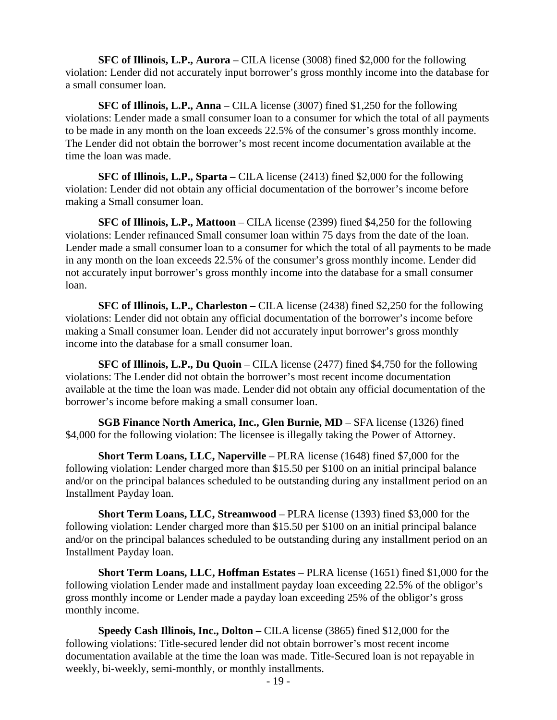**SFC of Illinois, L.P., Aurora** – CILA license (3008) fined \$2,000 for the following violation: Lender did not accurately input borrower's gross monthly income into the database for a small consumer loan.

**SFC of Illinois, L.P., Anna** – CILA license (3007) fined \$1,250 for the following violations: Lender made a small consumer loan to a consumer for which the total of all payments to be made in any month on the loan exceeds 22.5% of the consumer's gross monthly income. The Lender did not obtain the borrower's most recent income documentation available at the time the loan was made.

**SFC of Illinois, L.P., Sparta –** CILA license (2413) fined \$2,000 for the following violation: Lender did not obtain any official documentation of the borrower's income before making a Small consumer loan.

**SFC of Illinois, L.P., Mattoon** – CILA license (2399) fined \$4,250 for the following violations: Lender refinanced Small consumer loan within 75 days from the date of the loan. Lender made a small consumer loan to a consumer for which the total of all payments to be made in any month on the loan exceeds 22.5% of the consumer's gross monthly income. Lender did not accurately input borrower's gross monthly income into the database for a small consumer loan.

**SFC of Illinois, L.P., Charleston –** CILA license (2438) fined \$2,250 for the following violations: Lender did not obtain any official documentation of the borrower's income before making a Small consumer loan. Lender did not accurately input borrower's gross monthly income into the database for a small consumer loan.

**SFC of Illinois, L.P., Du Quoin** – CILA license (2477) fined \$4,750 for the following violations: The Lender did not obtain the borrower's most recent income documentation available at the time the loan was made. Lender did not obtain any official documentation of the borrower's income before making a small consumer loan.

**SGB Finance North America, Inc., Glen Burnie, MD** – SFA license (1326) fined \$4,000 for the following violation: The licensee is illegally taking the Power of Attorney.

**Short Term Loans, LLC, Naperville** – PLRA license (1648) fined \$7,000 for the following violation: Lender charged more than \$15.50 per \$100 on an initial principal balance and/or on the principal balances scheduled to be outstanding during any installment period on an Installment Payday loan.

**Short Term Loans, LLC, Streamwood** – PLRA license (1393) fined \$3,000 for the following violation: Lender charged more than \$15.50 per \$100 on an initial principal balance and/or on the principal balances scheduled to be outstanding during any installment period on an Installment Payday loan.

**Short Term Loans, LLC, Hoffman Estates** – PLRA license (1651) fined \$1,000 for the following violation Lender made and installment payday loan exceeding 22.5% of the obligor's gross monthly income or Lender made a payday loan exceeding 25% of the obligor's gross monthly income.

**Speedy Cash Illinois, Inc., Dolton –** CILA license (3865) fined \$12,000 for the following violations: Title-secured lender did not obtain borrower's most recent income documentation available at the time the loan was made. Title-Secured loan is not repayable in weekly, bi-weekly, semi-monthly, or monthly installments.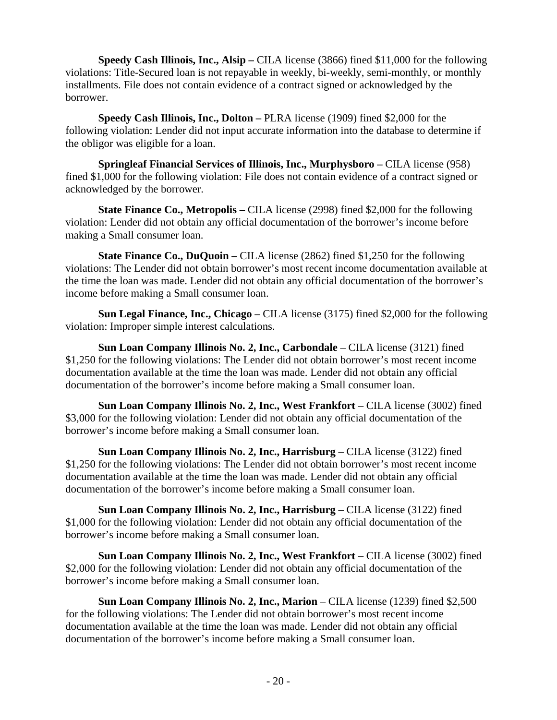**Speedy Cash Illinois, Inc., Alsip –** CILA license (3866) fined \$11,000 for the following violations: Title-Secured loan is not repayable in weekly, bi-weekly, semi-monthly, or monthly installments. File does not contain evidence of a contract signed or acknowledged by the borrower.

**Speedy Cash Illinois, Inc., Dolton –** PLRA license (1909) fined \$2,000 for the following violation: Lender did not input accurate information into the database to determine if the obligor was eligible for a loan.

**Springleaf Financial Services of Illinois, Inc., Murphysboro –** CILA license (958) fined \$1,000 for the following violation: File does not contain evidence of a contract signed or acknowledged by the borrower.

**State Finance Co., Metropolis –** CILA license (2998) fined \$2,000 for the following violation: Lender did not obtain any official documentation of the borrower's income before making a Small consumer loan.

**State Finance Co., DuQuoin –** CILA license (2862) fined \$1,250 for the following violations: The Lender did not obtain borrower's most recent income documentation available at the time the loan was made. Lender did not obtain any official documentation of the borrower's income before making a Small consumer loan.

**Sun Legal Finance, Inc., Chicago** – CILA license (3175) fined \$2,000 for the following violation: Improper simple interest calculations.

**Sun Loan Company Illinois No. 2, Inc., Carbondale** – CILA license (3121) fined \$1,250 for the following violations: The Lender did not obtain borrower's most recent income documentation available at the time the loan was made. Lender did not obtain any official documentation of the borrower's income before making a Small consumer loan.

**Sun Loan Company Illinois No. 2, Inc., West Frankfort** – CILA license (3002) fined \$3,000 for the following violation: Lender did not obtain any official documentation of the borrower's income before making a Small consumer loan.

**Sun Loan Company Illinois No. 2, Inc., Harrisburg** – CILA license (3122) fined \$1,250 for the following violations: The Lender did not obtain borrower's most recent income documentation available at the time the loan was made. Lender did not obtain any official documentation of the borrower's income before making a Small consumer loan.

**Sun Loan Company Illinois No. 2, Inc., Harrisburg** – CILA license (3122) fined \$1,000 for the following violation: Lender did not obtain any official documentation of the borrower's income before making a Small consumer loan.

**Sun Loan Company Illinois No. 2, Inc., West Frankfort** – CILA license (3002) fined \$2,000 for the following violation: Lender did not obtain any official documentation of the borrower's income before making a Small consumer loan.

**Sun Loan Company Illinois No. 2, Inc., Marion** – CILA license (1239) fined \$2,500 for the following violations: The Lender did not obtain borrower's most recent income documentation available at the time the loan was made. Lender did not obtain any official documentation of the borrower's income before making a Small consumer loan.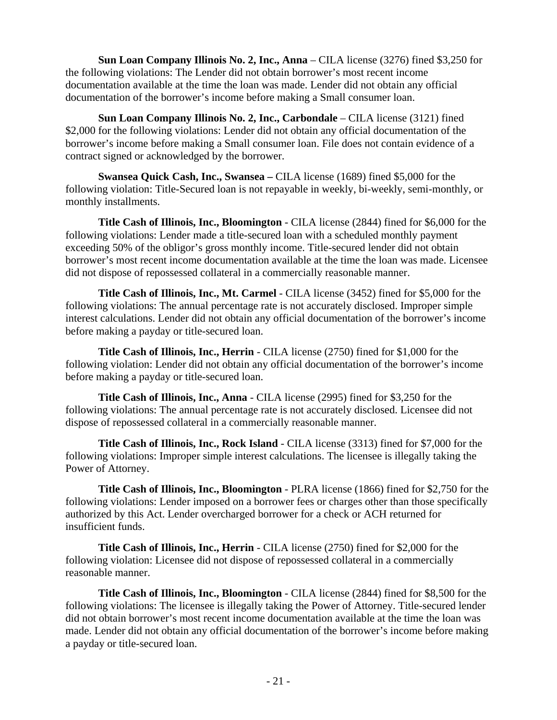**Sun Loan Company Illinois No. 2, Inc., Anna** – CILA license (3276) fined \$3,250 for the following violations: The Lender did not obtain borrower's most recent income documentation available at the time the loan was made. Lender did not obtain any official documentation of the borrower's income before making a Small consumer loan.

**Sun Loan Company Illinois No. 2, Inc., Carbondale** – CILA license (3121) fined \$2,000 for the following violations: Lender did not obtain any official documentation of the borrower's income before making a Small consumer loan. File does not contain evidence of a contract signed or acknowledged by the borrower.

**Swansea Quick Cash, Inc., Swansea –** CILA license (1689) fined \$5,000 for the following violation: Title-Secured loan is not repayable in weekly, bi-weekly, semi-monthly, or monthly installments.

**Title Cash of Illinois, Inc., Bloomington** - CILA license (2844) fined for \$6,000 for the following violations: Lender made a title-secured loan with a scheduled monthly payment exceeding 50% of the obligor's gross monthly income. Title-secured lender did not obtain borrower's most recent income documentation available at the time the loan was made. Licensee did not dispose of repossessed collateral in a commercially reasonable manner.

**Title Cash of Illinois, Inc., Mt. Carmel** - CILA license (3452) fined for \$5,000 for the following violations: The annual percentage rate is not accurately disclosed. Improper simple interest calculations. Lender did not obtain any official documentation of the borrower's income before making a payday or title-secured loan.

**Title Cash of Illinois, Inc., Herrin** - CILA license (2750) fined for \$1,000 for the following violation: Lender did not obtain any official documentation of the borrower's income before making a payday or title-secured loan.

**Title Cash of Illinois, Inc., Anna** - CILA license (2995) fined for \$3,250 for the following violations: The annual percentage rate is not accurately disclosed. Licensee did not dispose of repossessed collateral in a commercially reasonable manner.

**Title Cash of Illinois, Inc., Rock Island** - CILA license (3313) fined for \$7,000 for the following violations: Improper simple interest calculations. The licensee is illegally taking the Power of Attorney.

**Title Cash of Illinois, Inc., Bloomington** - PLRA license (1866) fined for \$2,750 for the following violations: Lender imposed on a borrower fees or charges other than those specifically authorized by this Act. Lender overcharged borrower for a check or ACH returned for insufficient funds.

**Title Cash of Illinois, Inc., Herrin** - CILA license (2750) fined for \$2,000 for the following violation: Licensee did not dispose of repossessed collateral in a commercially reasonable manner.

**Title Cash of Illinois, Inc., Bloomington** - CILA license (2844) fined for \$8,500 for the following violations: The licensee is illegally taking the Power of Attorney. Title-secured lender did not obtain borrower's most recent income documentation available at the time the loan was made. Lender did not obtain any official documentation of the borrower's income before making a payday or title-secured loan.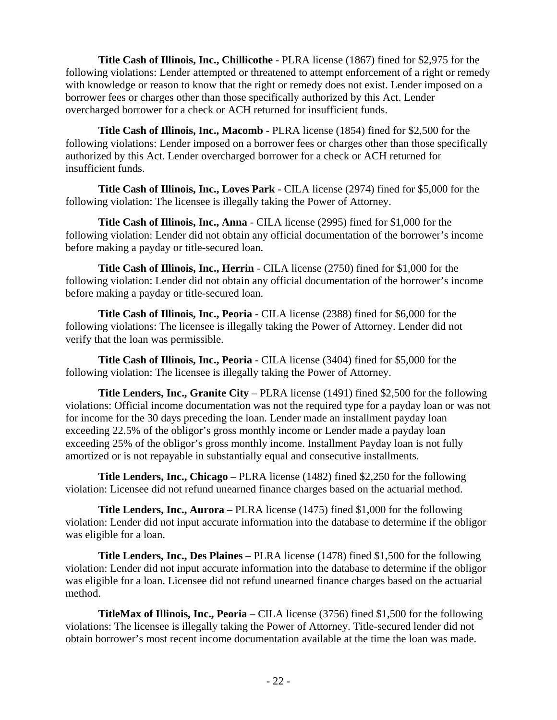**Title Cash of Illinois, Inc., Chillicothe** - PLRA license (1867) fined for \$2,975 for the following violations: Lender attempted or threatened to attempt enforcement of a right or remedy with knowledge or reason to know that the right or remedy does not exist. Lender imposed on a borrower fees or charges other than those specifically authorized by this Act. Lender overcharged borrower for a check or ACH returned for insufficient funds.

**Title Cash of Illinois, Inc., Macomb** - PLRA license (1854) fined for \$2,500 for the following violations: Lender imposed on a borrower fees or charges other than those specifically authorized by this Act. Lender overcharged borrower for a check or ACH returned for insufficient funds.

**Title Cash of Illinois, Inc., Loves Park** - CILA license (2974) fined for \$5,000 for the following violation: The licensee is illegally taking the Power of Attorney.

**Title Cash of Illinois, Inc., Anna** - CILA license (2995) fined for \$1,000 for the following violation: Lender did not obtain any official documentation of the borrower's income before making a payday or title-secured loan.

**Title Cash of Illinois, Inc., Herrin** - CILA license (2750) fined for \$1,000 for the following violation: Lender did not obtain any official documentation of the borrower's income before making a payday or title-secured loan.

**Title Cash of Illinois, Inc., Peoria** - CILA license (2388) fined for \$6,000 for the following violations: The licensee is illegally taking the Power of Attorney. Lender did not verify that the loan was permissible.

**Title Cash of Illinois, Inc., Peoria** - CILA license (3404) fined for \$5,000 for the following violation: The licensee is illegally taking the Power of Attorney.

**Title Lenders, Inc., Granite City** – PLRA license (1491) fined \$2,500 for the following violations: Official income documentation was not the required type for a payday loan or was not for income for the 30 days preceding the loan. Lender made an installment payday loan exceeding 22.5% of the obligor's gross monthly income or Lender made a payday loan exceeding 25% of the obligor's gross monthly income. Installment Payday loan is not fully amortized or is not repayable in substantially equal and consecutive installments.

**Title Lenders, Inc., Chicago** – PLRA license (1482) fined \$2,250 for the following violation: Licensee did not refund unearned finance charges based on the actuarial method.

**Title Lenders, Inc., Aurora** – PLRA license (1475) fined \$1,000 for the following violation: Lender did not input accurate information into the database to determine if the obligor was eligible for a loan.

**Title Lenders, Inc., Des Plaines** – PLRA license (1478) fined \$1,500 for the following violation: Lender did not input accurate information into the database to determine if the obligor was eligible for a loan. Licensee did not refund unearned finance charges based on the actuarial method.

**TitleMax of Illinois, Inc., Peoria** – CILA license (3756) fined \$1,500 for the following violations: The licensee is illegally taking the Power of Attorney. Title-secured lender did not obtain borrower's most recent income documentation available at the time the loan was made.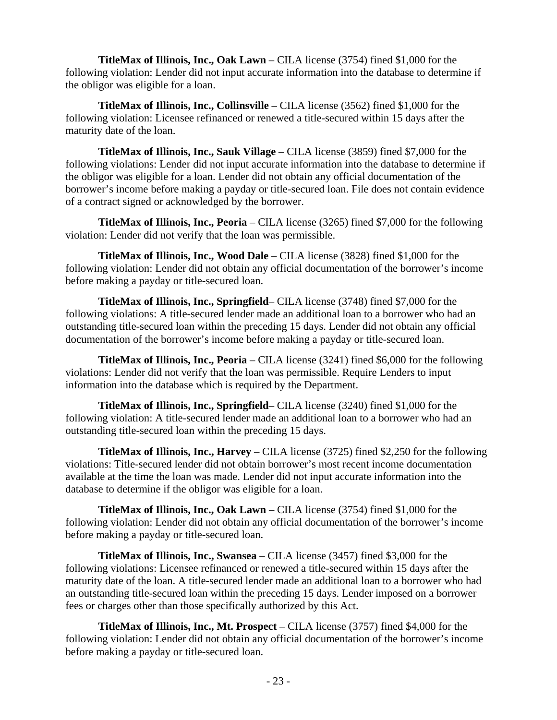**TitleMax of Illinois, Inc., Oak Lawn** – CILA license (3754) fined \$1,000 for the following violation: Lender did not input accurate information into the database to determine if the obligor was eligible for a loan.

**TitleMax of Illinois, Inc., Collinsville** – CILA license (3562) fined \$1,000 for the following violation: Licensee refinanced or renewed a title-secured within 15 days after the maturity date of the loan.

**TitleMax of Illinois, Inc., Sauk Village** – CILA license (3859) fined \$7,000 for the following violations: Lender did not input accurate information into the database to determine if the obligor was eligible for a loan. Lender did not obtain any official documentation of the borrower's income before making a payday or title-secured loan. File does not contain evidence of a contract signed or acknowledged by the borrower.

**TitleMax of Illinois, Inc., Peoria** – CILA license (3265) fined \$7,000 for the following violation: Lender did not verify that the loan was permissible.

**TitleMax of Illinois, Inc., Wood Dale** – CILA license (3828) fined \$1,000 for the following violation: Lender did not obtain any official documentation of the borrower's income before making a payday or title-secured loan.

**TitleMax of Illinois, Inc., Springfield**– CILA license (3748) fined \$7,000 for the following violations: A title-secured lender made an additional loan to a borrower who had an outstanding title-secured loan within the preceding 15 days. Lender did not obtain any official documentation of the borrower's income before making a payday or title-secured loan.

**TitleMax of Illinois, Inc., Peoria** – CILA license (3241) fined \$6,000 for the following violations: Lender did not verify that the loan was permissible. Require Lenders to input information into the database which is required by the Department.

**TitleMax of Illinois, Inc., Springfield**– CILA license (3240) fined \$1,000 for the following violation: A title-secured lender made an additional loan to a borrower who had an outstanding title-secured loan within the preceding 15 days.

**TitleMax of Illinois, Inc., Harvey** – CILA license (3725) fined \$2,250 for the following violations: Title-secured lender did not obtain borrower's most recent income documentation available at the time the loan was made. Lender did not input accurate information into the database to determine if the obligor was eligible for a loan.

**TitleMax of Illinois, Inc., Oak Lawn** – CILA license (3754) fined \$1,000 for the following violation: Lender did not obtain any official documentation of the borrower's income before making a payday or title-secured loan.

**TitleMax of Illinois, Inc., Swansea** – CILA license (3457) fined \$3,000 for the following violations: Licensee refinanced or renewed a title-secured within 15 days after the maturity date of the loan. A title-secured lender made an additional loan to a borrower who had an outstanding title-secured loan within the preceding 15 days. Lender imposed on a borrower fees or charges other than those specifically authorized by this Act.

**TitleMax of Illinois, Inc., Mt. Prospect** – CILA license (3757) fined \$4,000 for the following violation: Lender did not obtain any official documentation of the borrower's income before making a payday or title-secured loan.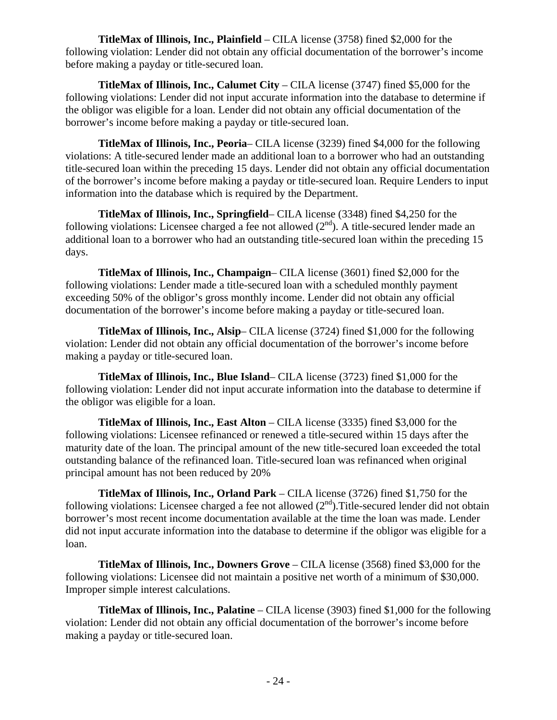**TitleMax of Illinois, Inc., Plainfield** – CILA license (3758) fined \$2,000 for the following violation: Lender did not obtain any official documentation of the borrower's income before making a payday or title-secured loan.

**TitleMax of Illinois, Inc., Calumet City** – CILA license (3747) fined \$5,000 for the following violations: Lender did not input accurate information into the database to determine if the obligor was eligible for a loan. Lender did not obtain any official documentation of the borrower's income before making a payday or title-secured loan.

**TitleMax of Illinois, Inc., Peoria**– CILA license (3239) fined \$4,000 for the following violations: A title-secured lender made an additional loan to a borrower who had an outstanding title-secured loan within the preceding 15 days. Lender did not obtain any official documentation of the borrower's income before making a payday or title-secured loan. Require Lenders to input information into the database which is required by the Department.

**TitleMax of Illinois, Inc., Springfield**– CILA license (3348) fined \$4,250 for the following violations: Licensee charged a fee not allowed  $(2<sup>nd</sup>)$ . A title-secured lender made an additional loan to a borrower who had an outstanding title-secured loan within the preceding 15 days.

**TitleMax of Illinois, Inc., Champaign**– CILA license (3601) fined \$2,000 for the following violations: Lender made a title-secured loan with a scheduled monthly payment exceeding 50% of the obligor's gross monthly income. Lender did not obtain any official documentation of the borrower's income before making a payday or title-secured loan.

**TitleMax of Illinois, Inc., Alsip**– CILA license (3724) fined \$1,000 for the following violation: Lender did not obtain any official documentation of the borrower's income before making a payday or title-secured loan.

**TitleMax of Illinois, Inc., Blue Island**– CILA license (3723) fined \$1,000 for the following violation: Lender did not input accurate information into the database to determine if the obligor was eligible for a loan.

**TitleMax of Illinois, Inc., East Alton** – CILA license (3335) fined \$3,000 for the following violations: Licensee refinanced or renewed a title-secured within 15 days after the maturity date of the loan. The principal amount of the new title-secured loan exceeded the total outstanding balance of the refinanced loan. Title-secured loan was refinanced when original principal amount has not been reduced by 20%

**TitleMax of Illinois, Inc., Orland Park** – CILA license (3726) fined \$1,750 for the following violations: Licensee charged a fee not allowed  $(2<sup>nd</sup>)$ . Title-secured lender did not obtain borrower's most recent income documentation available at the time the loan was made. Lender did not input accurate information into the database to determine if the obligor was eligible for a loan.

**TitleMax of Illinois, Inc., Downers Grove** – CILA license (3568) fined \$3,000 for the following violations: Licensee did not maintain a positive net worth of a minimum of \$30,000. Improper simple interest calculations.

**TitleMax of Illinois, Inc., Palatine** – CILA license (3903) fined \$1,000 for the following violation: Lender did not obtain any official documentation of the borrower's income before making a payday or title-secured loan.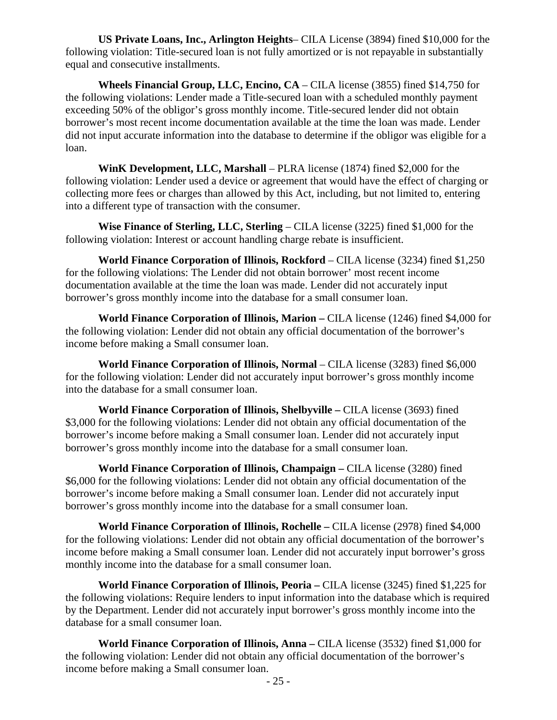**US Private Loans, Inc., Arlington Heights**– CILA License (3894) fined \$10,000 for the following violation: Title-secured loan is not fully amortized or is not repayable in substantially equal and consecutive installments.

**Wheels Financial Group, LLC, Encino, CA** – CILA license (3855) fined \$14,750 for the following violations: Lender made a Title-secured loan with a scheduled monthly payment exceeding 50% of the obligor's gross monthly income. Title-secured lender did not obtain borrower's most recent income documentation available at the time the loan was made. Lender did not input accurate information into the database to determine if the obligor was eligible for a loan.

**WinK Development, LLC, Marshall** – PLRA license (1874) fined \$2,000 for the following violation: Lender used a device or agreement that would have the effect of charging or collecting more fees or charges than allowed by this Act, including, but not limited to, entering into a different type of transaction with the consumer.

**Wise Finance of Sterling, LLC, Sterling** – CILA license (3225) fined \$1,000 for the following violation: Interest or account handling charge rebate is insufficient.

**World Finance Corporation of Illinois, Rockford** – CILA license (3234) fined \$1,250 for the following violations: The Lender did not obtain borrower' most recent income documentation available at the time the loan was made. Lender did not accurately input borrower's gross monthly income into the database for a small consumer loan.

**World Finance Corporation of Illinois, Marion –** CILA license (1246) fined \$4,000 for the following violation: Lender did not obtain any official documentation of the borrower's income before making a Small consumer loan.

World Finance Corporation of Illinois, Normal – CILA license (3283) fined \$6,000 for the following violation: Lender did not accurately input borrower's gross monthly income into the database for a small consumer loan.

**World Finance Corporation of Illinois, Shelbyville –** CILA license (3693) fined \$3,000 for the following violations: Lender did not obtain any official documentation of the borrower's income before making a Small consumer loan. Lender did not accurately input borrower's gross monthly income into the database for a small consumer loan.

**World Finance Corporation of Illinois, Champaign –** CILA license (3280) fined \$6,000 for the following violations: Lender did not obtain any official documentation of the borrower's income before making a Small consumer loan. Lender did not accurately input borrower's gross monthly income into the database for a small consumer loan.

**World Finance Corporation of Illinois, Rochelle –** CILA license (2978) fined \$4,000 for the following violations: Lender did not obtain any official documentation of the borrower's income before making a Small consumer loan. Lender did not accurately input borrower's gross monthly income into the database for a small consumer loan.

**World Finance Corporation of Illinois, Peoria –** CILA license (3245) fined \$1,225 for the following violations: Require lenders to input information into the database which is required by the Department. Lender did not accurately input borrower's gross monthly income into the database for a small consumer loan.

**World Finance Corporation of Illinois, Anna –** CILA license (3532) fined \$1,000 for the following violation: Lender did not obtain any official documentation of the borrower's income before making a Small consumer loan.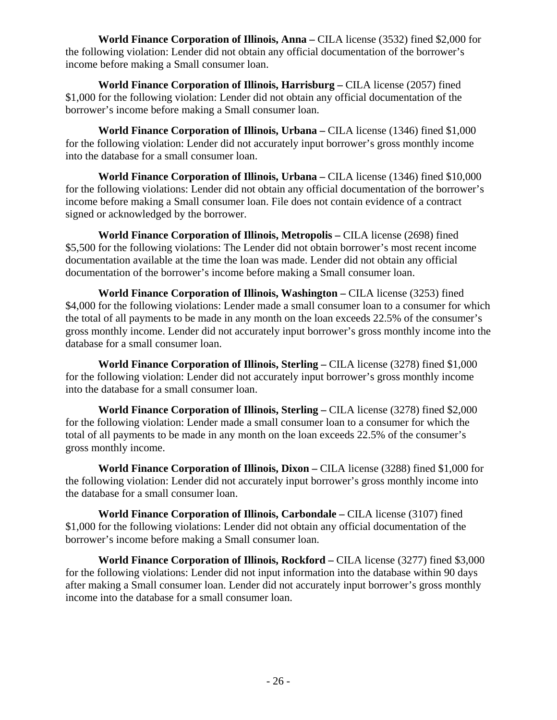**World Finance Corporation of Illinois, Anna –** CILA license (3532) fined \$2,000 for the following violation: Lender did not obtain any official documentation of the borrower's income before making a Small consumer loan.

**World Finance Corporation of Illinois, Harrisburg –** CILA license (2057) fined \$1,000 for the following violation: Lender did not obtain any official documentation of the borrower's income before making a Small consumer loan.

**World Finance Corporation of Illinois, Urbana –** CILA license (1346) fined \$1,000 for the following violation: Lender did not accurately input borrower's gross monthly income into the database for a small consumer loan.

**World Finance Corporation of Illinois, Urbana –** CILA license (1346) fined \$10,000 for the following violations: Lender did not obtain any official documentation of the borrower's income before making a Small consumer loan. File does not contain evidence of a contract signed or acknowledged by the borrower.

**World Finance Corporation of Illinois, Metropolis –** CILA license (2698) fined \$5,500 for the following violations: The Lender did not obtain borrower's most recent income documentation available at the time the loan was made. Lender did not obtain any official documentation of the borrower's income before making a Small consumer loan.

**World Finance Corporation of Illinois, Washington –** CILA license (3253) fined \$4,000 for the following violations: Lender made a small consumer loan to a consumer for which the total of all payments to be made in any month on the loan exceeds 22.5% of the consumer's gross monthly income. Lender did not accurately input borrower's gross monthly income into the database for a small consumer loan.

**World Finance Corporation of Illinois, Sterling –** CILA license (3278) fined \$1,000 for the following violation: Lender did not accurately input borrower's gross monthly income into the database for a small consumer loan.

**World Finance Corporation of Illinois, Sterling –** CILA license (3278) fined \$2,000 for the following violation: Lender made a small consumer loan to a consumer for which the total of all payments to be made in any month on the loan exceeds 22.5% of the consumer's gross monthly income.

**World Finance Corporation of Illinois, Dixon –** CILA license (3288) fined \$1,000 for the following violation: Lender did not accurately input borrower's gross monthly income into the database for a small consumer loan.

**World Finance Corporation of Illinois, Carbondale –** CILA license (3107) fined \$1,000 for the following violations: Lender did not obtain any official documentation of the borrower's income before making a Small consumer loan.

**World Finance Corporation of Illinois, Rockford –** CILA license (3277) fined \$3,000 for the following violations: Lender did not input information into the database within 90 days after making a Small consumer loan. Lender did not accurately input borrower's gross monthly income into the database for a small consumer loan.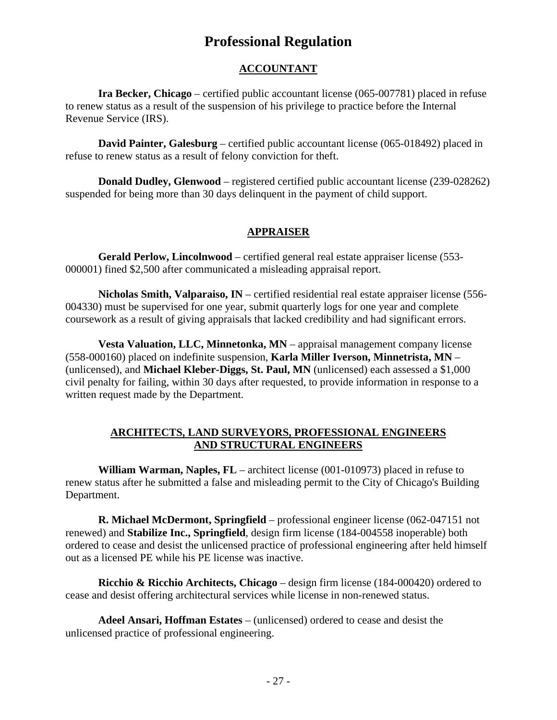# **Professional Regulation**

# **ACCOUNTANT**

**Ira Becker, Chicago** – certified public accountant license (065-007781) placed in refuse to renew status as a result of the suspension of his privilege to practice before the Internal Revenue Service (IRS).

**David Painter, Galesburg** – certified public accountant license (065-018492) placed in refuse to renew status as a result of felony conviction for theft.

**Donald Dudley, Glenwood** – registered certified public accountant license (239-028262) suspended for being more than 30 days delinquent in the payment of child support.

### **APPRAISER**

**Gerald Perlow, Lincolnwood** – certified general real estate appraiser license (553- 000001) fined \$2,500 after communicated a misleading appraisal report.

**Nicholas Smith, Valparaiso, IN** – certified residential real estate appraiser license (556- 004330) must be supervised for one year, submit quarterly logs for one year and complete coursework as a result of giving appraisals that lacked credibility and had significant errors.

**Vesta Valuation, LLC, Minnetonka, MN** – appraisal management company license (558-000160) placed on indefinite suspension, **Karla Miller Iverson, Minnetrista, MN** – (unlicensed), and **Michael Kleber-Diggs, St. Paul, MN** (unlicensed) each assessed a \$1,000 civil penalty for failing, within 30 days after requested, to provide information in response to a written request made by the Department.

#### **ARCHITECTS, LAND SURVEYORS, PROFESSIONAL ENGINEERS AND STRUCTURAL ENGINEERS**

**William Warman, Naples, FL** – architect license (001-010973) placed in refuse to renew status after he submitted a false and misleading permit to the City of Chicago's Building Department.

**R. Michael McDermont, Springfield** – professional engineer license (062-047151 not renewed) and **Stabilize Inc., Springfield**, design firm license (184-004558 inoperable) both ordered to cease and desist the unlicensed practice of professional engineering after held himself out as a licensed PE while his PE license was inactive.

**Ricchio & Ricchio Architects, Chicago** – design firm license (184-000420) ordered to cease and desist offering architectural services while license in non-renewed status.

**Adeel Ansari, Hoffman Estates** – (unlicensed) ordered to cease and desist the unlicensed practice of professional engineering.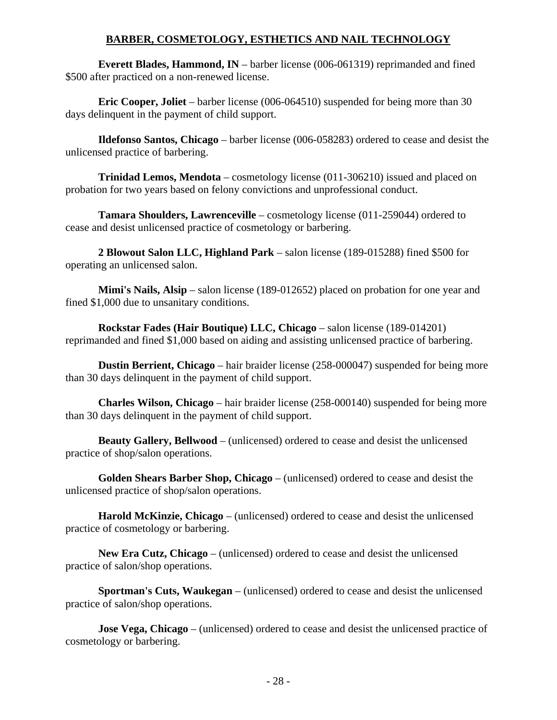## **BARBER, COSMETOLOGY, ESTHETICS AND NAIL TECHNOLOGY**

**Everett Blades, Hammond, IN** – barber license (006-061319) reprimanded and fined \$500 after practiced on a non-renewed license.

**Eric Cooper, Joliet** – barber license (006-064510) suspended for being more than 30 days delinquent in the payment of child support.

**Ildefonso Santos, Chicago** – barber license (006-058283) ordered to cease and desist the unlicensed practice of barbering.

**Trinidad Lemos, Mendota** – cosmetology license (011-306210) issued and placed on probation for two years based on felony convictions and unprofessional conduct.

**Tamara Shoulders, Lawrenceville** – cosmetology license (011-259044) ordered to cease and desist unlicensed practice of cosmetology or barbering.

**2 Blowout Salon LLC, Highland Park** – salon license (189-015288) fined \$500 for operating an unlicensed salon.

**Mimi's Nails, Alsip** – salon license (189-012652) placed on probation for one year and fined \$1,000 due to unsanitary conditions.

**Rockstar Fades (Hair Boutique) LLC, Chicago** – salon license (189-014201) reprimanded and fined \$1,000 based on aiding and assisting unlicensed practice of barbering.

**Dustin Berrient, Chicago** – hair braider license (258-000047) suspended for being more than 30 days delinquent in the payment of child support.

**Charles Wilson, Chicago** – hair braider license (258-000140) suspended for being more than 30 days delinquent in the payment of child support.

**Beauty Gallery, Bellwood** – (unlicensed) ordered to cease and desist the unlicensed practice of shop/salon operations.

**Golden Shears Barber Shop, Chicago** – (unlicensed) ordered to cease and desist the unlicensed practice of shop/salon operations.

**Harold McKinzie, Chicago** – (unlicensed) ordered to cease and desist the unlicensed practice of cosmetology or barbering.

**New Era Cutz, Chicago** – (unlicensed) ordered to cease and desist the unlicensed practice of salon/shop operations.

**Sportman's Cuts, Waukegan** – (unlicensed) ordered to cease and desist the unlicensed practice of salon/shop operations.

**Jose Vega, Chicago** – (unlicensed) ordered to cease and desist the unlicensed practice of cosmetology or barbering.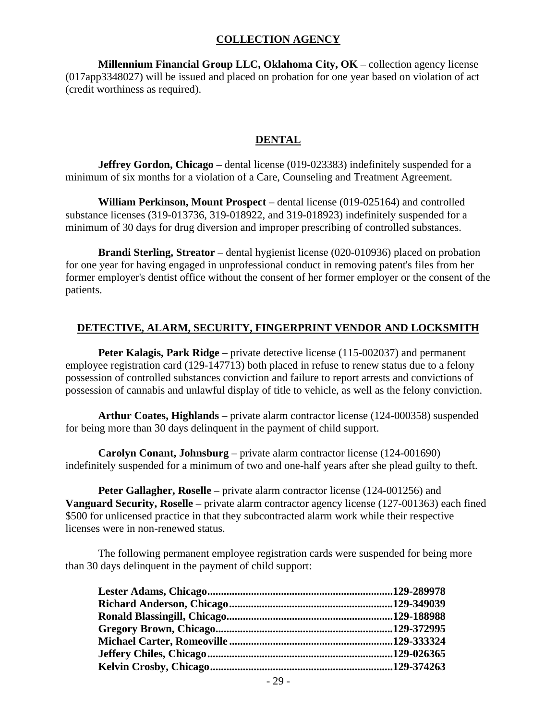#### **COLLECTION AGENCY**

**Millennium Financial Group LLC, Oklahoma City, OK** – collection agency license (017app3348027) will be issued and placed on probation for one year based on violation of act (credit worthiness as required).

#### **DENTAL**

**Jeffrey Gordon, Chicago** – dental license (019-023383) indefinitely suspended for a minimum of six months for a violation of a Care, Counseling and Treatment Agreement.

**William Perkinson, Mount Prospect** – dental license (019-025164) and controlled substance licenses (319-013736, 319-018922, and 319-018923) indefinitely suspended for a minimum of 30 days for drug diversion and improper prescribing of controlled substances.

**Brandi Sterling, Streator** – dental hygienist license (020-010936) placed on probation for one year for having engaged in unprofessional conduct in removing patent's files from her former employer's dentist office without the consent of her former employer or the consent of the patients.

#### **DETECTIVE, ALARM, SECURITY, FINGERPRINT VENDOR AND LOCKSMITH**

**Peter Kalagis, Park Ridge** – private detective license (115-002037) and permanent employee registration card (129-147713) both placed in refuse to renew status due to a felony possession of controlled substances conviction and failure to report arrests and convictions of possession of cannabis and unlawful display of title to vehicle, as well as the felony conviction.

**Arthur Coates, Highlands** – private alarm contractor license (124-000358) suspended for being more than 30 days delinquent in the payment of child support.

**Carolyn Conant, Johnsburg** – private alarm contractor license (124-001690) indefinitely suspended for a minimum of two and one-half years after she plead guilty to theft.

**Peter Gallagher, Roselle** – private alarm contractor license (124-001256) and **Vanguard Security, Roselle** – private alarm contractor agency license (127-001363) each fined \$500 for unlicensed practice in that they subcontracted alarm work while their respective licenses were in non-renewed status.

The following permanent employee registration cards were suspended for being more than 30 days delinquent in the payment of child support: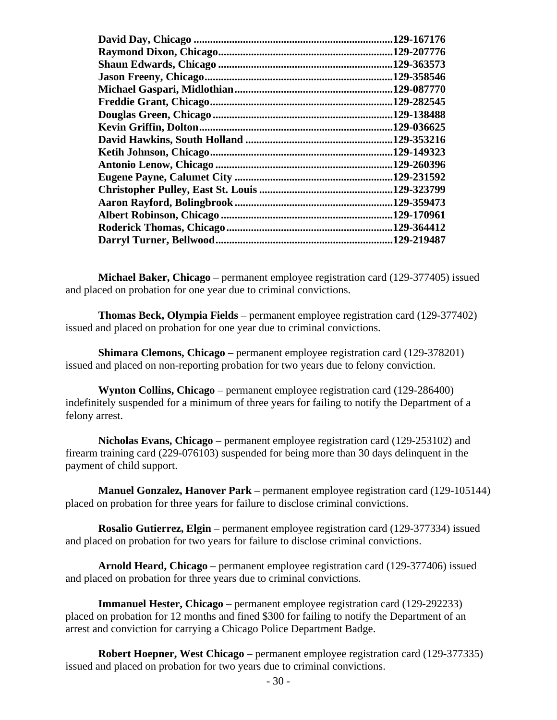| 129-167176  |
|-------------|
| .129-207776 |
| 129-363573. |
| .129-358546 |
| .129-087770 |
| .129-282545 |
| 129-138488  |
| .129-036625 |
| .129-353216 |
| .129-149323 |
| .129-260396 |
| .129-231592 |
| .129-323799 |
| .129-359473 |
| .129-170961 |
| .129-364412 |
| .129-219487 |
|             |

**Michael Baker, Chicago** – permanent employee registration card (129-377405) issued and placed on probation for one year due to criminal convictions.

**Thomas Beck, Olympia Fields** – permanent employee registration card (129-377402) issued and placed on probation for one year due to criminal convictions.

**Shimara Clemons, Chicago** – permanent employee registration card (129-378201) issued and placed on non-reporting probation for two years due to felony conviction.

**Wynton Collins, Chicago** – permanent employee registration card (129-286400) indefinitely suspended for a minimum of three years for failing to notify the Department of a felony arrest.

**Nicholas Evans, Chicago** – permanent employee registration card (129-253102) and firearm training card (229-076103) suspended for being more than 30 days delinquent in the payment of child support.

**Manuel Gonzalez, Hanover Park** – permanent employee registration card (129-105144) placed on probation for three years for failure to disclose criminal convictions.

**Rosalio Gutierrez, Elgin** – permanent employee registration card (129-377334) issued and placed on probation for two years for failure to disclose criminal convictions.

**Arnold Heard, Chicago** – permanent employee registration card (129-377406) issued and placed on probation for three years due to criminal convictions.

**Immanuel Hester, Chicago** – permanent employee registration card (129-292233) placed on probation for 12 months and fined \$300 for failing to notify the Department of an arrest and conviction for carrying a Chicago Police Department Badge.

**Robert Hoepner, West Chicago** – permanent employee registration card (129-377335) issued and placed on probation for two years due to criminal convictions.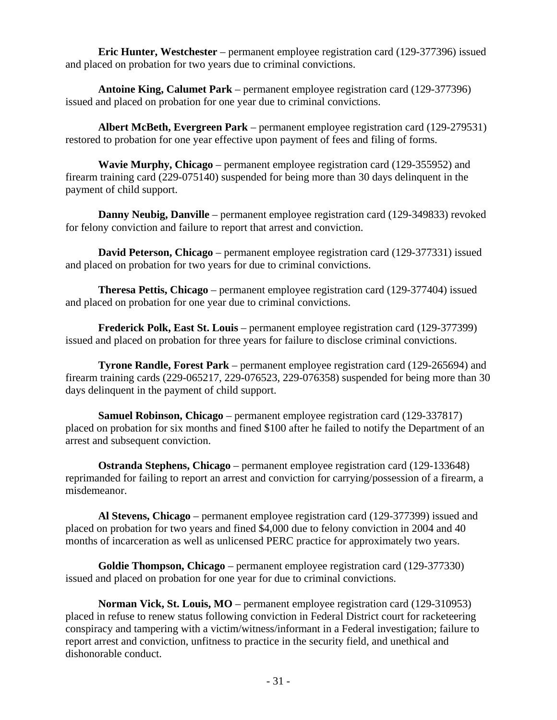**Eric Hunter, Westchester** – permanent employee registration card (129-377396) issued and placed on probation for two years due to criminal convictions.

**Antoine King, Calumet Park** – permanent employee registration card (129-377396) issued and placed on probation for one year due to criminal convictions.

**Albert McBeth, Evergreen Park** – permanent employee registration card (129-279531) restored to probation for one year effective upon payment of fees and filing of forms.

**Wavie Murphy, Chicago** – permanent employee registration card (129-355952) and firearm training card (229-075140) suspended for being more than 30 days delinquent in the payment of child support.

**Danny Neubig, Danville** – permanent employee registration card (129-349833) revoked for felony conviction and failure to report that arrest and conviction.

**David Peterson, Chicago** – permanent employee registration card (129-377331) issued and placed on probation for two years for due to criminal convictions.

**Theresa Pettis, Chicago** – permanent employee registration card (129-377404) issued and placed on probation for one year due to criminal convictions.

**Frederick Polk, East St. Louis** – permanent employee registration card (129-377399) issued and placed on probation for three years for failure to disclose criminal convictions.

**Tyrone Randle, Forest Park** – permanent employee registration card (129-265694) and firearm training cards (229-065217, 229-076523, 229-076358) suspended for being more than 30 days delinquent in the payment of child support.

**Samuel Robinson, Chicago** – permanent employee registration card (129-337817) placed on probation for six months and fined \$100 after he failed to notify the Department of an arrest and subsequent conviction.

**Ostranda Stephens, Chicago** – permanent employee registration card (129-133648) reprimanded for failing to report an arrest and conviction for carrying/possession of a firearm, a misdemeanor.

**Al Stevens, Chicago** – permanent employee registration card (129-377399) issued and placed on probation for two years and fined \$4,000 due to felony conviction in 2004 and 40 months of incarceration as well as unlicensed PERC practice for approximately two years.

**Goldie Thompson, Chicago** – permanent employee registration card (129-377330) issued and placed on probation for one year for due to criminal convictions.

**Norman Vick, St. Louis, MO** – permanent employee registration card (129-310953) placed in refuse to renew status following conviction in Federal District court for racketeering conspiracy and tampering with a victim/witness/informant in a Federal investigation; failure to report arrest and conviction, unfitness to practice in the security field, and unethical and dishonorable conduct.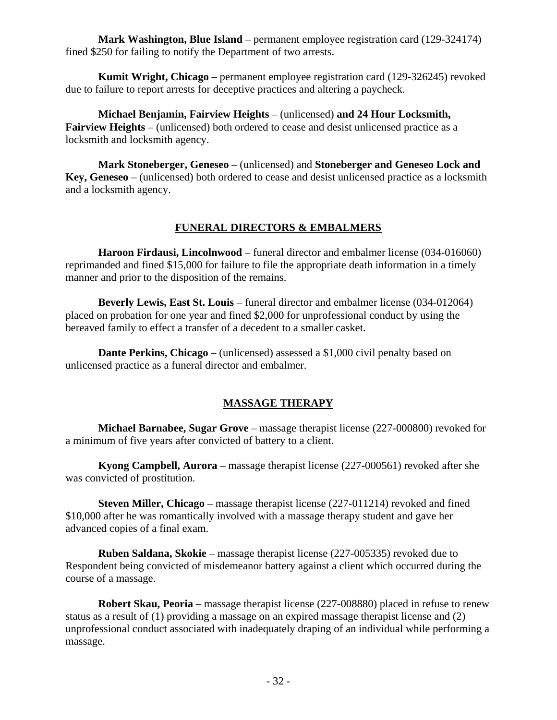**Mark Washington, Blue Island** – permanent employee registration card (129-324174) fined \$250 for failing to notify the Department of two arrests.

**Kumit Wright, Chicago** – permanent employee registration card (129-326245) revoked due to failure to report arrests for deceptive practices and altering a paycheck.

**Michael Benjamin, Fairview Heights** – (unlicensed) **and 24 Hour Locksmith, Fairview Heights** – (unlicensed) both ordered to cease and desist unlicensed practice as a locksmith and locksmith agency.

**Mark Stoneberger, Geneseo** – (unlicensed) and **Stoneberger and Geneseo Lock and Key, Geneseo** – (unlicensed) both ordered to cease and desist unlicensed practice as a locksmith and a locksmith agency.

# **FUNERAL DIRECTORS & EMBALMERS**

**Haroon Firdausi, Lincolnwood** – funeral director and embalmer license (034-016060) reprimanded and fined \$15,000 for failure to file the appropriate death information in a timely manner and prior to the disposition of the remains.

**Beverly Lewis, East St. Louis** – funeral director and embalmer license (034-012064) placed on probation for one year and fined \$2,000 for unprofessional conduct by using the bereaved family to effect a transfer of a decedent to a smaller casket.

**Dante Perkins, Chicago** – (unlicensed) assessed a \$1,000 civil penalty based on unlicensed practice as a funeral director and embalmer.

# **MASSAGE THERAPY**

**Michael Barnabee, Sugar Grove** – massage therapist license (227-000800) revoked for a minimum of five years after convicted of battery to a client.

**Kyong Campbell, Aurora** – massage therapist license (227-000561) revoked after she was convicted of prostitution.

**Steven Miller, Chicago** – massage therapist license (227-011214) revoked and fined \$10,000 after he was romantically involved with a massage therapy student and gave her advanced copies of a final exam.

**Ruben Saldana, Skokie** – massage therapist license (227-005335) revoked due to Respondent being convicted of misdemeanor battery against a client which occurred during the course of a massage.

**Robert Skau, Peoria** – massage therapist license (227-008880) placed in refuse to renew status as a result of (1) providing a massage on an expired massage therapist license and (2) unprofessional conduct associated with inadequately draping of an individual while performing a massage.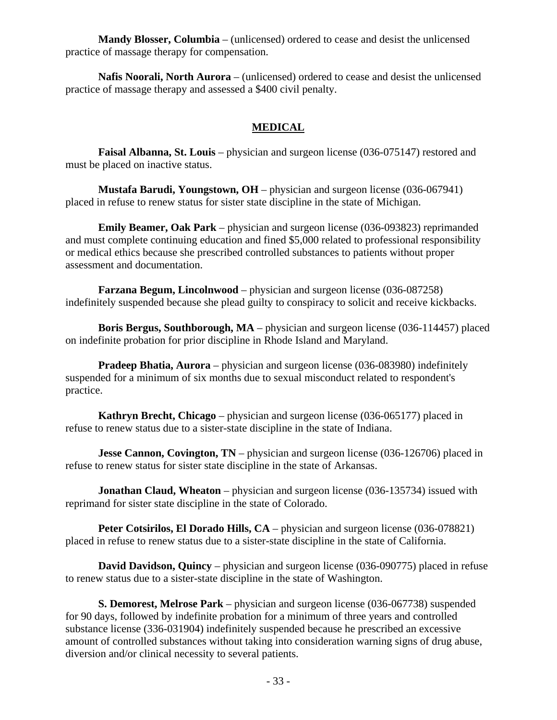**Mandy Blosser, Columbia** – (unlicensed) ordered to cease and desist the unlicensed practice of massage therapy for compensation.

**Nafis Noorali, North Aurora** – (unlicensed) ordered to cease and desist the unlicensed practice of massage therapy and assessed a \$400 civil penalty.

## **MEDICAL**

**Faisal Albanna, St. Louis** – physician and surgeon license (036-075147) restored and must be placed on inactive status.

**Mustafa Barudi, Youngstown, OH** – physician and surgeon license (036-067941) placed in refuse to renew status for sister state discipline in the state of Michigan.

**Emily Beamer, Oak Park** – physician and surgeon license (036-093823) reprimanded and must complete continuing education and fined \$5,000 related to professional responsibility or medical ethics because she prescribed controlled substances to patients without proper assessment and documentation.

**Farzana Begum, Lincolnwood** – physician and surgeon license (036-087258) indefinitely suspended because she plead guilty to conspiracy to solicit and receive kickbacks.

**Boris Bergus, Southborough, MA** – physician and surgeon license (036-114457) placed on indefinite probation for prior discipline in Rhode Island and Maryland.

**Pradeep Bhatia, Aurora** – physician and surgeon license (036-083980) indefinitely suspended for a minimum of six months due to sexual misconduct related to respondent's practice.

**Kathryn Brecht, Chicago** – physician and surgeon license (036-065177) placed in refuse to renew status due to a sister-state discipline in the state of Indiana.

**Jesse Cannon, Covington, TN** – physician and surgeon license (036-126706) placed in refuse to renew status for sister state discipline in the state of Arkansas.

**Jonathan Claud, Wheaton** – physician and surgeon license (036-135734) issued with reprimand for sister state discipline in the state of Colorado.

**Peter Cotsirilos, El Dorado Hills, CA** – physician and surgeon license (036-078821) placed in refuse to renew status due to a sister-state discipline in the state of California.

**David Davidson, Quincy** – physician and surgeon license (036-090775) placed in refuse to renew status due to a sister-state discipline in the state of Washington.

**S. Demorest, Melrose Park** – physician and surgeon license (036-067738) suspended for 90 days, followed by indefinite probation for a minimum of three years and controlled substance license (336-031904) indefinitely suspended because he prescribed an excessive amount of controlled substances without taking into consideration warning signs of drug abuse, diversion and/or clinical necessity to several patients.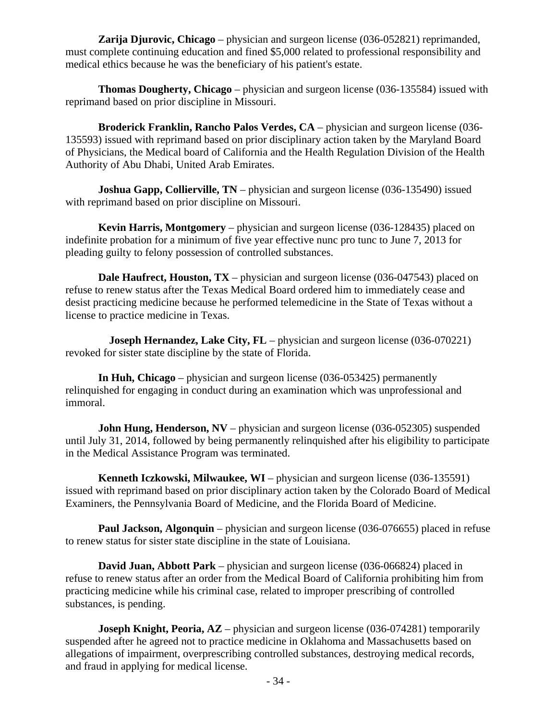**Zarija Djurovic, Chicago** – physician and surgeon license (036-052821) reprimanded, must complete continuing education and fined \$5,000 related to professional responsibility and medical ethics because he was the beneficiary of his patient's estate.

**Thomas Dougherty, Chicago** – physician and surgeon license (036-135584) issued with reprimand based on prior discipline in Missouri.

**Broderick Franklin, Rancho Palos Verdes, CA** – physician and surgeon license (036- 135593) issued with reprimand based on prior disciplinary action taken by the Maryland Board of Physicians, the Medical board of California and the Health Regulation Division of the Health Authority of Abu Dhabi, United Arab Emirates.

**Joshua Gapp, Collierville, TN** – physician and surgeon license (036-135490) issued with reprimand based on prior discipline on Missouri.

**Kevin Harris, Montgomery** – physician and surgeon license (036-128435) placed on indefinite probation for a minimum of five year effective nunc pro tunc to June 7, 2013 for pleading guilty to felony possession of controlled substances.

**Dale Haufrect, Houston, TX** – physician and surgeon license (036-047543) placed on refuse to renew status after the Texas Medical Board ordered him to immediately cease and desist practicing medicine because he performed telemedicine in the State of Texas without a license to practice medicine in Texas.

**Joseph Hernandez, Lake City, FL** – physician and surgeon license (036-070221) revoked for sister state discipline by the state of Florida.

**In Huh, Chicago** – physician and surgeon license (036-053425) permanently relinquished for engaging in conduct during an examination which was unprofessional and immoral.

**John Hung, Henderson, NV** – physician and surgeon license (036-052305) suspended until July 31, 2014, followed by being permanently relinquished after his eligibility to participate in the Medical Assistance Program was terminated.

**Kenneth Iczkowski, Milwaukee, WI** – physician and surgeon license (036-135591) issued with reprimand based on prior disciplinary action taken by the Colorado Board of Medical Examiners, the Pennsylvania Board of Medicine, and the Florida Board of Medicine.

**Paul Jackson, Algonquin** – physician and surgeon license (036-076655) placed in refuse to renew status for sister state discipline in the state of Louisiana.

**David Juan, Abbott Park** – physician and surgeon license (036-066824) placed in refuse to renew status after an order from the Medical Board of California prohibiting him from practicing medicine while his criminal case, related to improper prescribing of controlled substances, is pending.

**Joseph Knight, Peoria, AZ** – physician and surgeon license (036-074281) temporarily suspended after he agreed not to practice medicine in Oklahoma and Massachusetts based on allegations of impairment, overprescribing controlled substances, destroying medical records, and fraud in applying for medical license.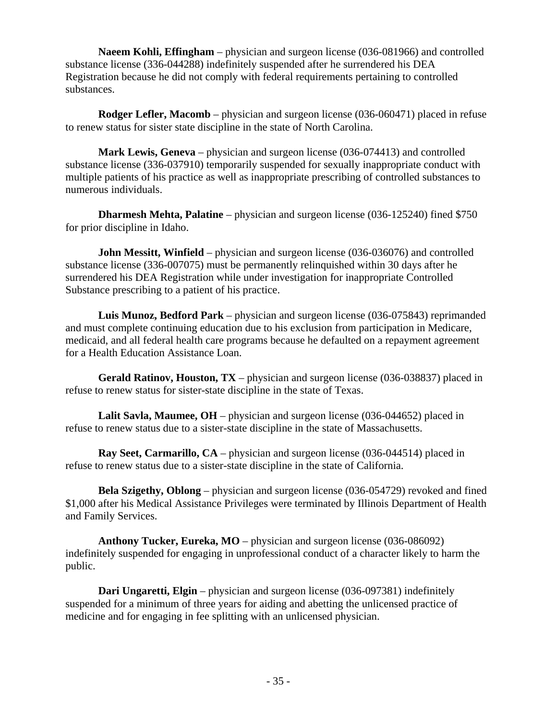**Naeem Kohli, Effingham** – physician and surgeon license (036-081966) and controlled substance license (336-044288) indefinitely suspended after he surrendered his DEA Registration because he did not comply with federal requirements pertaining to controlled substances.

**Rodger Lefler, Macomb** – physician and surgeon license (036-060471) placed in refuse to renew status for sister state discipline in the state of North Carolina.

**Mark Lewis, Geneva** – physician and surgeon license (036-074413) and controlled substance license (336-037910) temporarily suspended for sexually inappropriate conduct with multiple patients of his practice as well as inappropriate prescribing of controlled substances to numerous individuals.

**Dharmesh Mehta, Palatine** – physician and surgeon license (036-125240) fined \$750 for prior discipline in Idaho.

**John Messitt, Winfield** – physician and surgeon license (036-036076) and controlled substance license (336-007075) must be permanently relinquished within 30 days after he surrendered his DEA Registration while under investigation for inappropriate Controlled Substance prescribing to a patient of his practice.

**Luis Munoz, Bedford Park** – physician and surgeon license (036-075843) reprimanded and must complete continuing education due to his exclusion from participation in Medicare, medicaid, and all federal health care programs because he defaulted on a repayment agreement for a Health Education Assistance Loan.

**Gerald Ratinov, Houston, TX** – physician and surgeon license (036-038837) placed in refuse to renew status for sister-state discipline in the state of Texas.

**Lalit Savla, Maumee, OH** – physician and surgeon license (036-044652) placed in refuse to renew status due to a sister-state discipline in the state of Massachusetts.

**Ray Seet, Carmarillo, CA** – physician and surgeon license (036-044514) placed in refuse to renew status due to a sister-state discipline in the state of California.

**Bela Szigethy, Oblong** – physician and surgeon license (036-054729) revoked and fined \$1,000 after his Medical Assistance Privileges were terminated by Illinois Department of Health and Family Services.

**Anthony Tucker, Eureka, MO** – physician and surgeon license (036-086092) indefinitely suspended for engaging in unprofessional conduct of a character likely to harm the public.

**Dari Ungaretti, Elgin** – physician and surgeon license (036-097381) indefinitely suspended for a minimum of three years for aiding and abetting the unlicensed practice of medicine and for engaging in fee splitting with an unlicensed physician.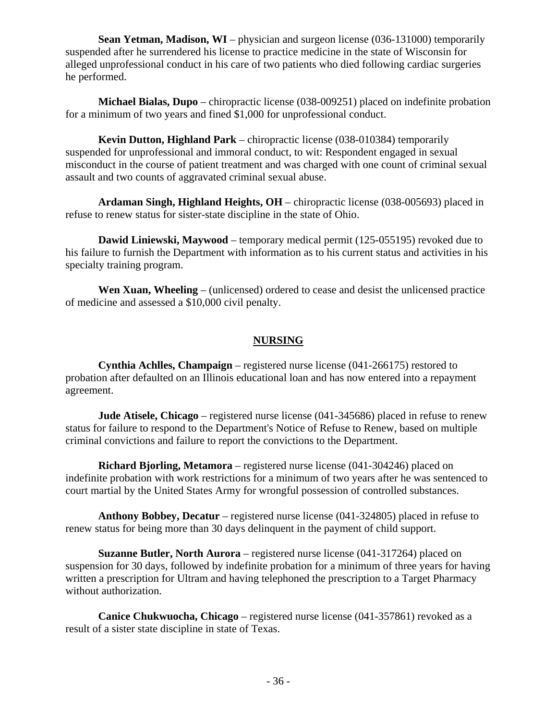**Sean Yetman, Madison, WI** – physician and surgeon license (036-131000) temporarily suspended after he surrendered his license to practice medicine in the state of Wisconsin for alleged unprofessional conduct in his care of two patients who died following cardiac surgeries he performed.

**Michael Bialas, Dupo** – chiropractic license (038-009251) placed on indefinite probation for a minimum of two years and fined \$1,000 for unprofessional conduct.

**Kevin Dutton, Highland Park** – chiropractic license (038-010384) temporarily suspended for unprofessional and immoral conduct, to wit: Respondent engaged in sexual misconduct in the course of patient treatment and was charged with one count of criminal sexual assault and two counts of aggravated criminal sexual abuse.

**Ardaman Singh, Highland Heights, OH** – chiropractic license (038-005693) placed in refuse to renew status for sister-state discipline in the state of Ohio.

**Dawid Liniewski, Maywood** – temporary medical permit (125-055195) revoked due to his failure to furnish the Department with information as to his current status and activities in his specialty training program.

**Wen Xuan, Wheeling** – (unlicensed) ordered to cease and desist the unlicensed practice of medicine and assessed a \$10,000 civil penalty.

## **NURSING**

**Cynthia Achlles, Champaign** – registered nurse license (041-266175) restored to probation after defaulted on an Illinois educational loan and has now entered into a repayment agreement.

**Jude Atisele, Chicago** – registered nurse license (041-345686) placed in refuse to renew status for failure to respond to the Department's Notice of Refuse to Renew, based on multiple criminal convictions and failure to report the convictions to the Department.

**Richard Bjorling, Metamora** – registered nurse license (041-304246) placed on indefinite probation with work restrictions for a minimum of two years after he was sentenced to court martial by the United States Army for wrongful possession of controlled substances.

**Anthony Bobbey, Decatur** – registered nurse license (041-324805) placed in refuse to renew status for being more than 30 days delinquent in the payment of child support.

**Suzanne Butler, North Aurora** – registered nurse license (041-317264) placed on suspension for 30 days, followed by indefinite probation for a minimum of three years for having written a prescription for Ultram and having telephoned the prescription to a Target Pharmacy without authorization.

**Canice Chukwuocha, Chicago** – registered nurse license (041-357861) revoked as a result of a sister state discipline in state of Texas.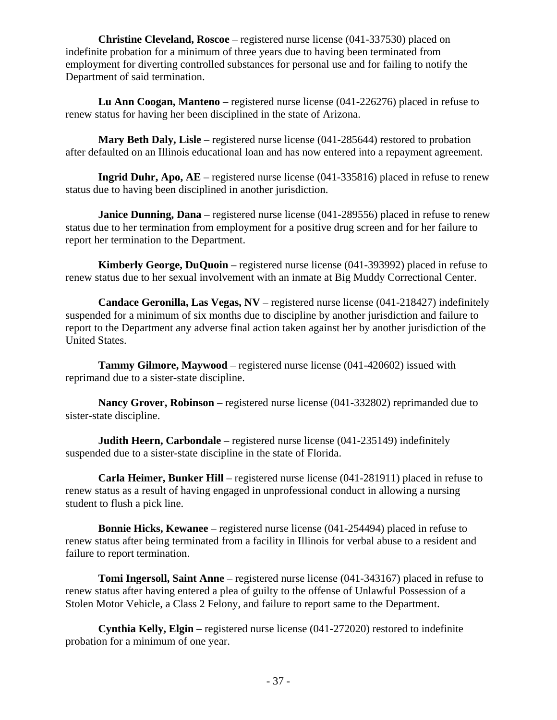**Christine Cleveland, Roscoe** – registered nurse license (041-337530) placed on indefinite probation for a minimum of three years due to having been terminated from employment for diverting controlled substances for personal use and for failing to notify the Department of said termination.

**Lu Ann Coogan, Manteno** – registered nurse license (041-226276) placed in refuse to renew status for having her been disciplined in the state of Arizona.

**Mary Beth Daly, Lisle** – registered nurse license (041-285644) restored to probation after defaulted on an Illinois educational loan and has now entered into a repayment agreement.

**Ingrid Duhr, Apo, AE** – registered nurse license (041-335816) placed in refuse to renew status due to having been disciplined in another jurisdiction.

**Janice Dunning, Dana** – registered nurse license (041-289556) placed in refuse to renew status due to her termination from employment for a positive drug screen and for her failure to report her termination to the Department.

**Kimberly George, DuQuoin** – registered nurse license (041-393992) placed in refuse to renew status due to her sexual involvement with an inmate at Big Muddy Correctional Center.

**Candace Geronilla, Las Vegas, NV** – registered nurse license (041-218427) indefinitely suspended for a minimum of six months due to discipline by another jurisdiction and failure to report to the Department any adverse final action taken against her by another jurisdiction of the United States.

**Tammy Gilmore, Maywood** – registered nurse license (041-420602) issued with reprimand due to a sister-state discipline.

**Nancy Grover, Robinson** – registered nurse license (041-332802) reprimanded due to sister-state discipline.

**Judith Heern, Carbondale** – registered nurse license (041-235149) indefinitely suspended due to a sister-state discipline in the state of Florida.

**Carla Heimer, Bunker Hill** – registered nurse license (041-281911) placed in refuse to renew status as a result of having engaged in unprofessional conduct in allowing a nursing student to flush a pick line.

**Bonnie Hicks, Kewanee** – registered nurse license (041-254494) placed in refuse to renew status after being terminated from a facility in Illinois for verbal abuse to a resident and failure to report termination.

**Tomi Ingersoll, Saint Anne** – registered nurse license (041-343167) placed in refuse to renew status after having entered a plea of guilty to the offense of Unlawful Possession of a Stolen Motor Vehicle, a Class 2 Felony, and failure to report same to the Department.

**Cynthia Kelly, Elgin** – registered nurse license (041-272020) restored to indefinite probation for a minimum of one year.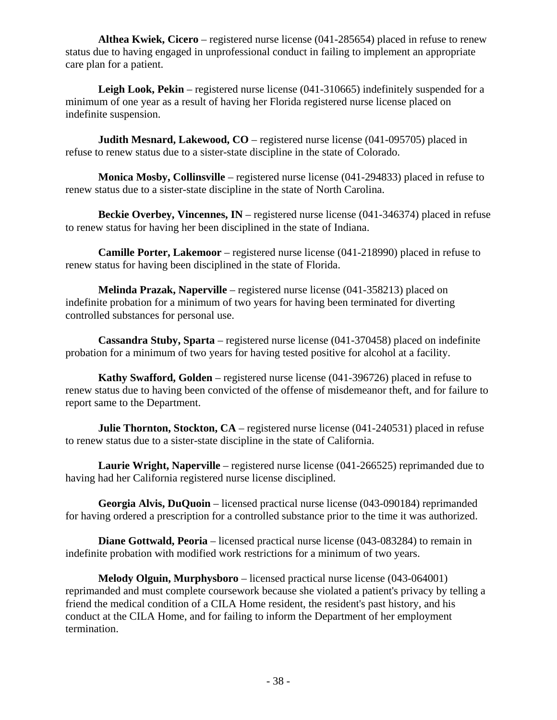**Althea Kwiek, Cicero** – registered nurse license (041-285654) placed in refuse to renew status due to having engaged in unprofessional conduct in failing to implement an appropriate care plan for a patient.

Leigh Look, Pekin – registered nurse license (041-310665) indefinitely suspended for a minimum of one year as a result of having her Florida registered nurse license placed on indefinite suspension.

**Judith Mesnard, Lakewood, CO** – registered nurse license (041-095705) placed in refuse to renew status due to a sister-state discipline in the state of Colorado.

**Monica Mosby, Collinsville** – registered nurse license (041-294833) placed in refuse to renew status due to a sister-state discipline in the state of North Carolina.

**Beckie Overbey, Vincennes, IN** – registered nurse license (041-346374) placed in refuse to renew status for having her been disciplined in the state of Indiana.

**Camille Porter, Lakemoor** – registered nurse license (041-218990) placed in refuse to renew status for having been disciplined in the state of Florida.

**Melinda Prazak, Naperville** – registered nurse license (041-358213) placed on indefinite probation for a minimum of two years for having been terminated for diverting controlled substances for personal use.

**Cassandra Stuby, Sparta** – registered nurse license (041-370458) placed on indefinite probation for a minimum of two years for having tested positive for alcohol at a facility.

**Kathy Swafford, Golden** – registered nurse license (041-396726) placed in refuse to renew status due to having been convicted of the offense of misdemeanor theft, and for failure to report same to the Department.

**Julie Thornton, Stockton, CA** – registered nurse license (041-240531) placed in refuse to renew status due to a sister-state discipline in the state of California.

**Laurie Wright, Naperville** – registered nurse license (041-266525) reprimanded due to having had her California registered nurse license disciplined.

**Georgia Alvis, DuQuoin** – licensed practical nurse license (043-090184) reprimanded for having ordered a prescription for a controlled substance prior to the time it was authorized.

**Diane Gottwald, Peoria** – licensed practical nurse license (043-083284) to remain in indefinite probation with modified work restrictions for a minimum of two years.

**Melody Olguin, Murphysboro** – licensed practical nurse license (043-064001) reprimanded and must complete coursework because she violated a patient's privacy by telling a friend the medical condition of a CILA Home resident, the resident's past history, and his conduct at the CILA Home, and for failing to inform the Department of her employment termination.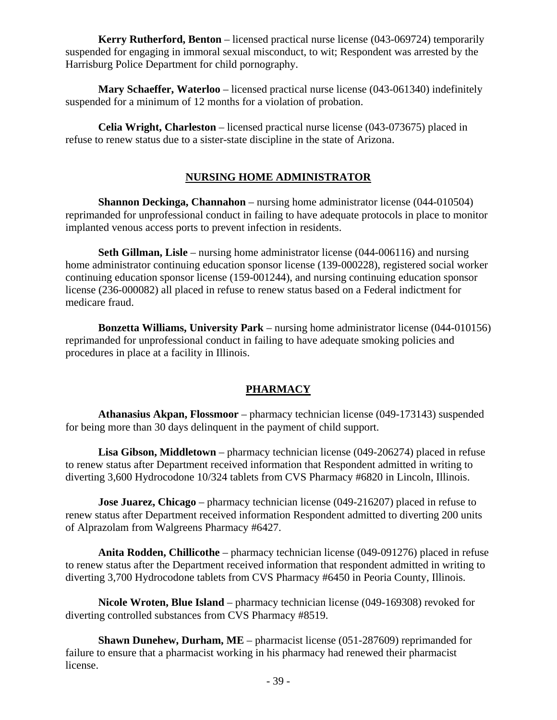**Kerry Rutherford, Benton** – licensed practical nurse license (043-069724) temporarily suspended for engaging in immoral sexual misconduct, to wit; Respondent was arrested by the Harrisburg Police Department for child pornography.

**Mary Schaeffer, Waterloo** – licensed practical nurse license (043-061340) indefinitely suspended for a minimum of 12 months for a violation of probation.

**Celia Wright, Charleston** – licensed practical nurse license (043-073675) placed in refuse to renew status due to a sister-state discipline in the state of Arizona.

## **NURSING HOME ADMINISTRATOR**

**Shannon Deckinga, Channahon** – nursing home administrator license (044-010504) reprimanded for unprofessional conduct in failing to have adequate protocols in place to monitor implanted venous access ports to prevent infection in residents.

**Seth Gillman, Lisle** – nursing home administrator license (044-006116) and nursing home administrator continuing education sponsor license (139-000228), registered social worker continuing education sponsor license (159-001244), and nursing continuing education sponsor license (236-000082) all placed in refuse to renew status based on a Federal indictment for medicare fraud.

**Bonzetta Williams, University Park** – nursing home administrator license (044-010156) reprimanded for unprofessional conduct in failing to have adequate smoking policies and procedures in place at a facility in Illinois.

# **PHARMACY**

**Athanasius Akpan, Flossmoor** – pharmacy technician license (049-173143) suspended for being more than 30 days delinquent in the payment of child support.

**Lisa Gibson, Middletown** – pharmacy technician license (049-206274) placed in refuse to renew status after Department received information that Respondent admitted in writing to diverting 3,600 Hydrocodone 10/324 tablets from CVS Pharmacy #6820 in Lincoln, Illinois.

**Jose Juarez, Chicago** – pharmacy technician license (049-216207) placed in refuse to renew status after Department received information Respondent admitted to diverting 200 units of Alprazolam from Walgreens Pharmacy #6427.

**Anita Rodden, Chillicothe** – pharmacy technician license (049-091276) placed in refuse to renew status after the Department received information that respondent admitted in writing to diverting 3,700 Hydrocodone tablets from CVS Pharmacy #6450 in Peoria County, Illinois.

**Nicole Wroten, Blue Island** – pharmacy technician license (049-169308) revoked for diverting controlled substances from CVS Pharmacy #8519.

**Shawn Dunehew, Durham, ME** – pharmacist license (051-287609) reprimanded for failure to ensure that a pharmacist working in his pharmacy had renewed their pharmacist license.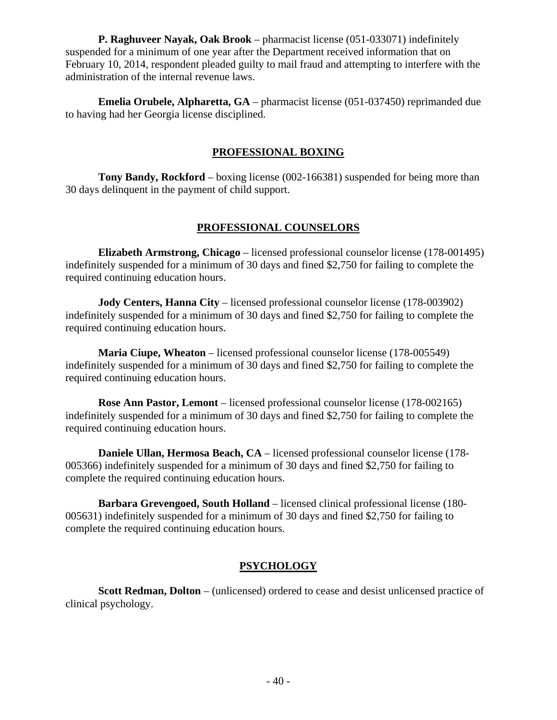**P. Raghuveer Nayak, Oak Brook** – pharmacist license (051-033071) indefinitely suspended for a minimum of one year after the Department received information that on February 10, 2014, respondent pleaded guilty to mail fraud and attempting to interfere with the administration of the internal revenue laws.

**Emelia Orubele, Alpharetta, GA** – pharmacist license (051-037450) reprimanded due to having had her Georgia license disciplined.

# **PROFESSIONAL BOXING**

**Tony Bandy, Rockford** – boxing license (002-166381) suspended for being more than 30 days delinquent in the payment of child support.

## **PROFESSIONAL COUNSELORS**

**Elizabeth Armstrong, Chicago** – licensed professional counselor license (178-001495) indefinitely suspended for a minimum of 30 days and fined \$2,750 for failing to complete the required continuing education hours.

**Jody Centers, Hanna City** – licensed professional counselor license (178-003902) indefinitely suspended for a minimum of 30 days and fined \$2,750 for failing to complete the required continuing education hours.

**Maria Ciupe, Wheaton** – licensed professional counselor license (178-005549) indefinitely suspended for a minimum of 30 days and fined \$2,750 for failing to complete the required continuing education hours.

**Rose Ann Pastor, Lemont** – licensed professional counselor license (178-002165) indefinitely suspended for a minimum of 30 days and fined \$2,750 for failing to complete the required continuing education hours.

**Daniele Ullan, Hermosa Beach, CA** – licensed professional counselor license (178- 005366) indefinitely suspended for a minimum of 30 days and fined \$2,750 for failing to complete the required continuing education hours.

**Barbara Grevengoed, South Holland** – licensed clinical professional license (180- 005631) indefinitely suspended for a minimum of 30 days and fined \$2,750 for failing to complete the required continuing education hours.

# **PSYCHOLOGY**

**Scott Redman, Dolton** – (unlicensed) ordered to cease and desist unlicensed practice of clinical psychology.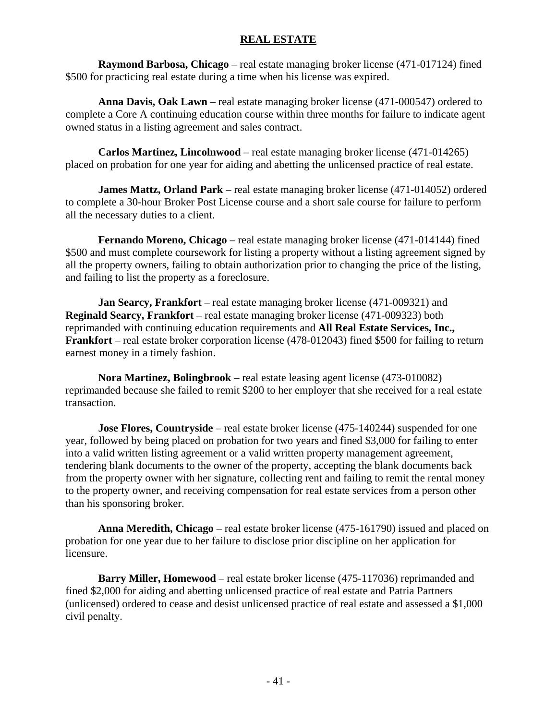### **REAL ESTATE**

**Raymond Barbosa, Chicago** – real estate managing broker license (471-017124) fined \$500 for practicing real estate during a time when his license was expired.

**Anna Davis, Oak Lawn** – real estate managing broker license (471-000547) ordered to complete a Core A continuing education course within three months for failure to indicate agent owned status in a listing agreement and sales contract.

**Carlos Martinez, Lincolnwood** – real estate managing broker license (471-014265) placed on probation for one year for aiding and abetting the unlicensed practice of real estate.

**James Mattz, Orland Park** – real estate managing broker license (471-014052) ordered to complete a 30-hour Broker Post License course and a short sale course for failure to perform all the necessary duties to a client.

**Fernando Moreno, Chicago** – real estate managing broker license (471-014144) fined \$500 and must complete coursework for listing a property without a listing agreement signed by all the property owners, failing to obtain authorization prior to changing the price of the listing, and failing to list the property as a foreclosure.

**Jan Searcy, Frankfort** – real estate managing broker license (471-009321) and **Reginald Searcy, Frankfort** – real estate managing broker license (471-009323) both reprimanded with continuing education requirements and **All Real Estate Services, Inc., Frankfort** – real estate broker corporation license (478-012043) fined \$500 for failing to return earnest money in a timely fashion.

**Nora Martinez, Bolingbrook** – real estate leasing agent license (473-010082) reprimanded because she failed to remit \$200 to her employer that she received for a real estate transaction.

**Jose Flores, Countryside** – real estate broker license (475-140244) suspended for one year, followed by being placed on probation for two years and fined \$3,000 for failing to enter into a valid written listing agreement or a valid written property management agreement, tendering blank documents to the owner of the property, accepting the blank documents back from the property owner with her signature, collecting rent and failing to remit the rental money to the property owner, and receiving compensation for real estate services from a person other than his sponsoring broker.

**Anna Meredith, Chicago** – real estate broker license (475-161790) issued and placed on probation for one year due to her failure to disclose prior discipline on her application for licensure.

**Barry Miller, Homewood** – real estate broker license (475-117036) reprimanded and fined \$2,000 for aiding and abetting unlicensed practice of real estate and Patria Partners (unlicensed) ordered to cease and desist unlicensed practice of real estate and assessed a \$1,000 civil penalty.